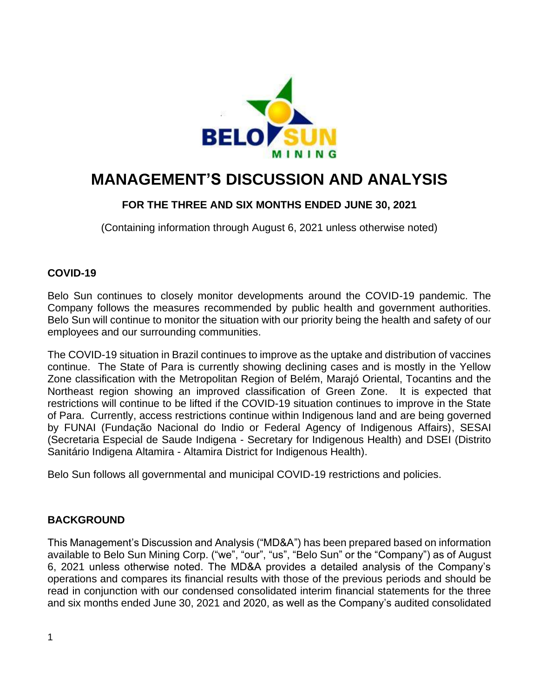

# **MANAGEMENT'S DISCUSSION AND ANALYSIS**

# **FOR THE THREE AND SIX MONTHS ENDED JUNE 30, 2021**

(Containing information through August 6, 2021 unless otherwise noted)

# **COVID-19**

Belo Sun continues to closely monitor developments around the COVID-19 pandemic. The Company follows the measures recommended by public health and government authorities. Belo Sun will continue to monitor the situation with our priority being the health and safety of our employees and our surrounding communities.

The COVID-19 situation in Brazil continues to improve as the uptake and distribution of vaccines continue. The State of Para is currently showing declining cases and is mostly in the Yellow Zone classification with the Metropolitan Region of Belém, Marajó Oriental, Tocantins and the Northeast region showing an improved classification of Green Zone. It is expected that restrictions will continue to be lifted if the COVID-19 situation continues to improve in the State of Para. Currently, access restrictions continue within Indigenous land and are being governed by FUNAI (Fundação Nacional do Indio or Federal Agency of Indigenous Affairs), SESAI (Secretaria Especial de Saude Indigena - Secretary for Indigenous Health) and DSEI (Distrito Sanitário Indigena Altamira - Altamira District for Indigenous Health).

Belo Sun follows all governmental and municipal COVID-19 restrictions and policies.

# **BACKGROUND**

This Management's Discussion and Analysis ("MD&A") has been prepared based on information available to Belo Sun Mining Corp. ("we", "our", "us", "Belo Sun" or the "Company") as of August 6, 2021 unless otherwise noted. The MD&A provides a detailed analysis of the Company's operations and compares its financial results with those of the previous periods and should be read in conjunction with our condensed consolidated interim financial statements for the three and six months ended June 30, 2021 and 2020, as well as the Company's audited consolidated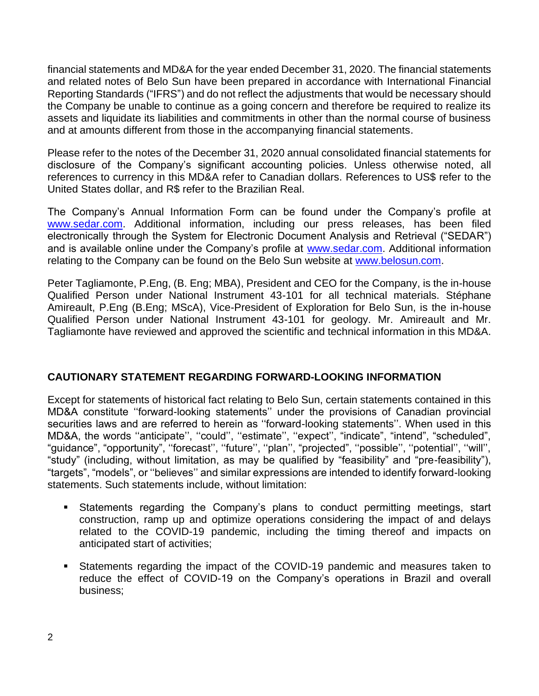financial statements and MD&A for the year ended December 31, 2020. The financial statements and related notes of Belo Sun have been prepared in accordance with International Financial Reporting Standards ("IFRS") and do not reflect the adjustments that would be necessary should the Company be unable to continue as a going concern and therefore be required to realize its assets and liquidate its liabilities and commitments in other than the normal course of business and at amounts different from those in the accompanying financial statements.

Please refer to the notes of the December 31, 2020 annual consolidated financial statements for disclosure of the Company's significant accounting policies. Unless otherwise noted, all references to currency in this MD&A refer to Canadian dollars. References to US\$ refer to the United States dollar, and R\$ refer to the Brazilian Real.

The Company's Annual Information Form can be found under the Company's profile at [www.sedar.com.](http://www.sedar.com/) Additional information, including our press releases, has been filed electronically through the System for Electronic Document Analysis and Retrieval ("SEDAR") and is available online under the Company's profile at [www.sedar.com.](http://www.sedar.com/) Additional information relating to the Company can be found on the Belo Sun website at [www.belosun.com.](http://www.belosun.com/)

Peter Tagliamonte, P.Eng, (B. Eng; MBA), President and CEO for the Company, is the in-house Qualified Person under National Instrument 43-101 for all technical materials. Stéphane Amireault, P.Eng (B.Eng; MScA), Vice-President of Exploration for Belo Sun, is the in-house Qualified Person under National Instrument 43-101 for geology. Mr. Amireault and Mr. Tagliamonte have reviewed and approved the scientific and technical information in this MD&A.

## **CAUTIONARY STATEMENT REGARDING FORWARD-LOOKING INFORMATION**

Except for statements of historical fact relating to Belo Sun, certain statements contained in this MD&A constitute ''forward-looking statements'' under the provisions of Canadian provincial securities laws and are referred to herein as ''forward-looking statements''. When used in this MD&A, the words ''anticipate'', ''could'', ''estimate'', ''expect'', "indicate", "intend", "scheduled", "guidance", "opportunity", ''forecast'', ''future'', ''plan'', "projected", ''possible'', ''potential'', ''will'', "study" (including, without limitation, as may be qualified by "feasibility" and "pre-feasibility"), "targets", "models", or ''believes'' and similar expressions are intended to identify forward-looking statements. Such statements include, without limitation:

- Statements regarding the Company's plans to conduct permitting meetings, start construction, ramp up and optimize operations considering the impact of and delays related to the COVID-19 pandemic, including the timing thereof and impacts on anticipated start of activities;
- Statements regarding the impact of the COVID-19 pandemic and measures taken to reduce the effect of COVID-19 on the Company's operations in Brazil and overall business;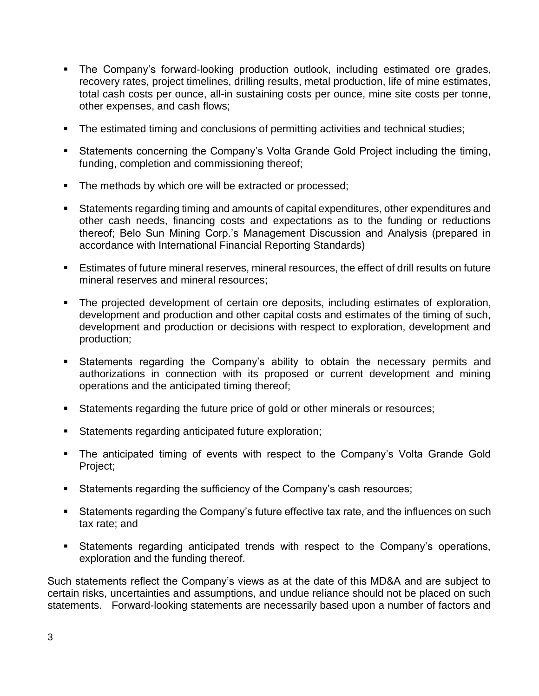- The Company's forward-looking production outlook, including estimated ore grades, recovery rates, project timelines, drilling results, metal production, life of mine estimates, total cash costs per ounce, all-in sustaining costs per ounce, mine site costs per tonne, other expenses, and cash flows;
- **The estimated timing and conclusions of permitting activities and technical studies;**
- Statements concerning the Company's Volta Grande Gold Project including the timing, funding, completion and commissioning thereof;
- **The methods by which ore will be extracted or processed;**
- Statements regarding timing and amounts of capital expenditures, other expenditures and other cash needs, financing costs and expectations as to the funding or reductions thereof; Belo Sun Mining Corp.'s Management Discussion and Analysis (prepared in accordance with International Financial Reporting Standards)
- **Estimates of future mineral reserves, mineral resources, the effect of drill results on future** mineral reserves and mineral resources;
- The projected development of certain ore deposits, including estimates of exploration, development and production and other capital costs and estimates of the timing of such, development and production or decisions with respect to exploration, development and production;
- **EXEL Statements regarding the Company's ability to obtain the necessary permits and** authorizations in connection with its proposed or current development and mining operations and the anticipated timing thereof;
- Statements regarding the future price of gold or other minerals or resources;
- Statements regarding anticipated future exploration;
- The anticipated timing of events with respect to the Company's Volta Grande Gold Project;
- Statements regarding the sufficiency of the Company's cash resources;
- Statements regarding the Company's future effective tax rate, and the influences on such tax rate; and
- **EXECT** Statements regarding anticipated trends with respect to the Company's operations, exploration and the funding thereof.

Such statements reflect the Company's views as at the date of this MD&A and are subject to certain risks, uncertainties and assumptions, and undue reliance should not be placed on such statements. Forward-looking statements are necessarily based upon a number of factors and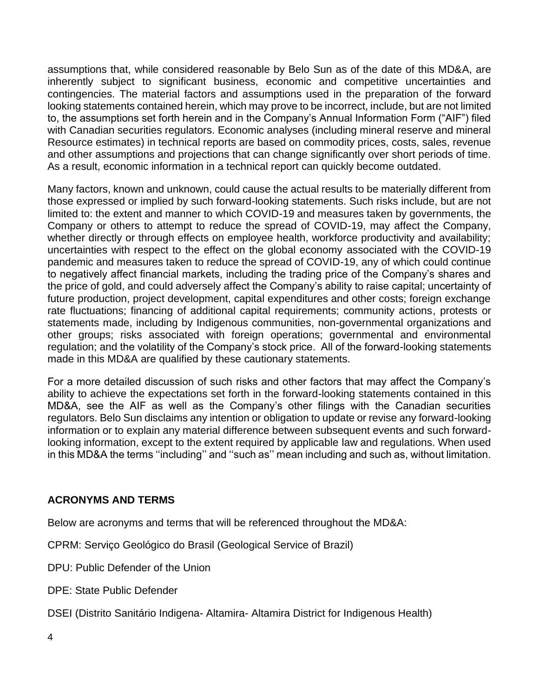assumptions that, while considered reasonable by Belo Sun as of the date of this MD&A, are inherently subject to significant business, economic and competitive uncertainties and contingencies. The material factors and assumptions used in the preparation of the forward looking statements contained herein, which may prove to be incorrect, include, but are not limited to, the assumptions set forth herein and in the Company's Annual Information Form ("AIF") filed with Canadian securities regulators. Economic analyses (including mineral reserve and mineral Resource estimates) in technical reports are based on commodity prices, costs, sales, revenue and other assumptions and projections that can change significantly over short periods of time. As a result, economic information in a technical report can quickly become outdated.

Many factors, known and unknown, could cause the actual results to be materially different from those expressed or implied by such forward-looking statements. Such risks include, but are not limited to: the extent and manner to which COVID-19 and measures taken by governments, the Company or others to attempt to reduce the spread of COVID-19, may affect the Company, whether directly or through effects on employee health, workforce productivity and availability; uncertainties with respect to the effect on the global economy associated with the COVID-19 pandemic and measures taken to reduce the spread of COVID-19, any of which could continue to negatively affect financial markets, including the trading price of the Company's shares and the price of gold, and could adversely affect the Company's ability to raise capital; uncertainty of future production, project development, capital expenditures and other costs; foreign exchange rate fluctuations; financing of additional capital requirements; community actions, protests or statements made, including by Indigenous communities, non-governmental organizations and other groups; risks associated with foreign operations; governmental and environmental regulation; and the volatility of the Company's stock price. All of the forward-looking statements made in this MD&A are qualified by these cautionary statements.

For a more detailed discussion of such risks and other factors that may affect the Company's ability to achieve the expectations set forth in the forward-looking statements contained in this MD&A, see the AIF as well as the Company's other filings with the Canadian securities regulators. Belo Sun disclaims any intention or obligation to update or revise any forward-looking information or to explain any material difference between subsequent events and such forwardlooking information, except to the extent required by applicable law and regulations. When used in this MD&A the terms ''including'' and ''such as'' mean including and such as, without limitation.

# **ACRONYMS AND TERMS**

Below are acronyms and terms that will be referenced throughout the MD&A:

CPRM: Serviço Geológico do Brasil (Geological Service of Brazil)

DPU: Public Defender of the Union

DPE: State Public Defender

DSEI (Distrito Sanitário Indigena- Altamira- Altamira District for Indigenous Health)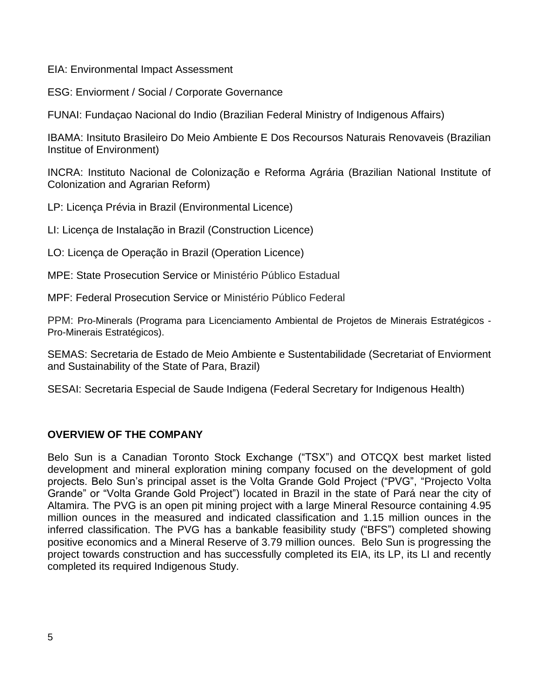EIA: Environmental Impact Assessment

ESG: Enviorment / Social / Corporate Governance

FUNAI: Fundaçao Nacional do Indio (Brazilian Federal Ministry of Indigenous Affairs)

IBAMA: Insituto Brasileiro Do Meio Ambiente E Dos Recoursos Naturais Renovaveis (Brazilian Institue of Environment)

INCRA: Instituto Nacional de Colonização e Reforma Agrária (Brazilian National Institute of Colonization and Agrarian Reform)

LP: Licença Prévia in Brazil (Environmental Licence)

LI: Licença de Instalação in Brazil (Construction Licence)

LO: Licença de Operação in Brazil (Operation Licence)

MPE: State Prosecution Service or Ministério Público Estadual

MPF: Federal Prosecution Service or Ministério Público Federal

PPM: Pro-Minerals (Programa para Licenciamento Ambiental de Projetos de Minerais Estratégicos - Pro-Minerais Estratégicos).

SEMAS: Secretaria de Estado de Meio Ambiente e Sustentabilidade (Secretariat of Enviorment and Sustainability of the State of Para, Brazil)

SESAI: Secretaria Especial de Saude Indigena (Federal Secretary for Indigenous Health)

# **OVERVIEW OF THE COMPANY**

Belo Sun is a Canadian Toronto Stock Exchange ("TSX") and OTCQX best market listed development and mineral exploration mining company focused on the development of gold projects. Belo Sun's principal asset is the Volta Grande Gold Project ("PVG", "Projecto Volta Grande" or "Volta Grande Gold Project") located in Brazil in the state of Pará near the city of Altamira. The PVG is an open pit mining project with a large Mineral Resource containing 4.95 million ounces in the measured and indicated classification and 1.15 million ounces in the inferred classification. The PVG has a bankable feasibility study ("BFS") completed showing positive economics and a Mineral Reserve of 3.79 million ounces. Belo Sun is progressing the project towards construction and has successfully completed its EIA, its LP, its LI and recently completed its required Indigenous Study.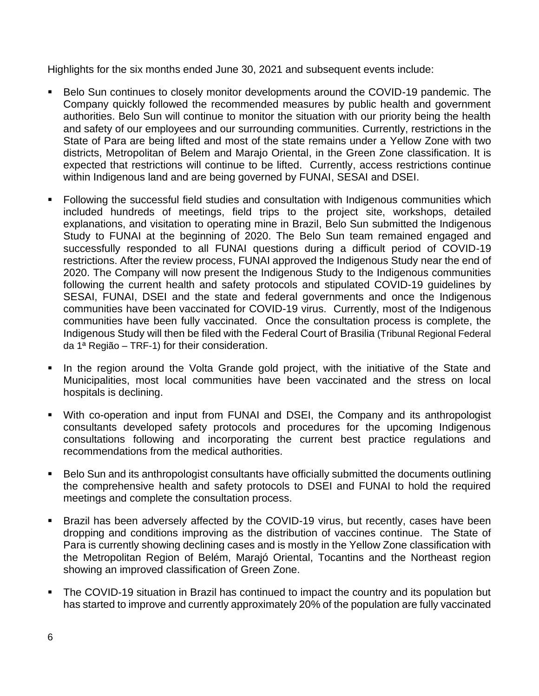Highlights for the six months ended June 30, 2021 and subsequent events include:

- Belo Sun continues to closely monitor developments around the COVID-19 pandemic. The Company quickly followed the recommended measures by public health and government authorities. Belo Sun will continue to monitor the situation with our priority being the health and safety of our employees and our surrounding communities. Currently, restrictions in the State of Para are being lifted and most of the state remains under a Yellow Zone with two districts, Metropolitan of Belem and Marajo Oriental, in the Green Zone classification. It is expected that restrictions will continue to be lifted. Currently, access restrictions continue within Indigenous land and are being governed by FUNAI, SESAI and DSEI.
- Following the successful field studies and consultation with Indigenous communities which included hundreds of meetings, field trips to the project site, workshops, detailed explanations, and visitation to operating mine in Brazil, Belo Sun submitted the Indigenous Study to FUNAI at the beginning of 2020. The Belo Sun team remained engaged and successfully responded to all FUNAI questions during a difficult period of COVID-19 restrictions. After the review process, FUNAI approved the Indigenous Study near the end of 2020. The Company will now present the Indigenous Study to the Indigenous communities following the current health and safety protocols and stipulated COVID-19 guidelines by SESAI, FUNAI, DSEI and the state and federal governments and once the Indigenous communities have been vaccinated for COVID-19 virus. Currently, most of the Indigenous communities have been fully vaccinated. Once the consultation process is complete, the Indigenous Study will then be filed with the Federal Court of Brasilia (Tribunal Regional Federal da 1ª Região – TRF-1) for their consideration.
- In the region around the Volta Grande gold project, with the initiative of the State and Municipalities, most local communities have been vaccinated and the stress on local hospitals is declining.
- With co-operation and input from FUNAI and DSEI, the Company and its anthropologist consultants developed safety protocols and procedures for the upcoming Indigenous consultations following and incorporating the current best practice regulations and recommendations from the medical authorities.
- Belo Sun and its anthropologist consultants have officially submitted the documents outlining the comprehensive health and safety protocols to DSEI and FUNAI to hold the required meetings and complete the consultation process.
- **EXECT** Brazil has been adversely affected by the COVID-19 virus, but recently, cases have been dropping and conditions improving as the distribution of vaccines continue. The State of Para is currently showing declining cases and is mostly in the Yellow Zone classification with the Metropolitan Region of Belém, Marajó Oriental, Tocantins and the Northeast region showing an improved classification of Green Zone.
- The COVID-19 situation in Brazil has continued to impact the country and its population but has started to improve and currently approximately 20% of the population are fully vaccinated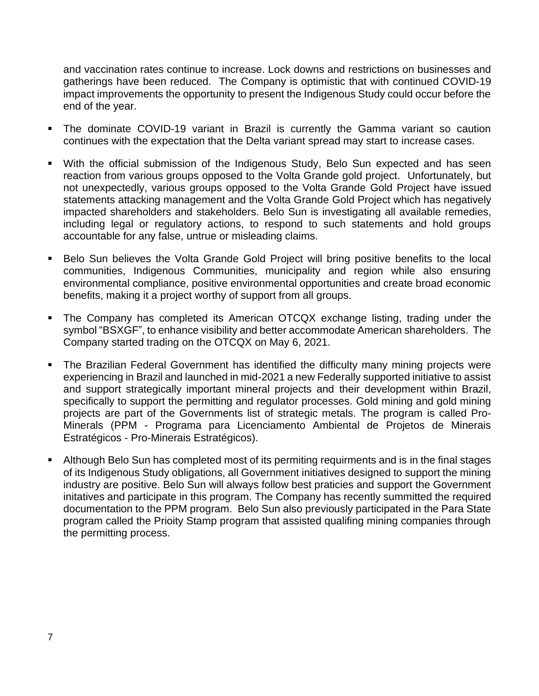and vaccination rates continue to increase. Lock downs and restrictions on businesses and gatherings have been reduced. The Company is optimistic that with continued COVID-19 impact improvements the opportunity to present the Indigenous Study could occur before the end of the year.

- **.** The dominate COVID-19 variant in Brazil is currently the Gamma variant so caution continues with the expectation that the Delta variant spread may start to increase cases.
- With the official submission of the Indigenous Study, Belo Sun expected and has seen reaction from various groups opposed to the Volta Grande gold project. Unfortunately, but not unexpectedly, various groups opposed to the Volta Grande Gold Project have issued statements attacking management and the Volta Grande Gold Project which has negatively impacted shareholders and stakeholders. Belo Sun is investigating all available remedies, including legal or regulatory actions, to respond to such statements and hold groups accountable for any false, untrue or misleading claims.
- Belo Sun believes the Volta Grande Gold Project will bring positive benefits to the local communities, Indigenous Communities, municipality and region while also ensuring environmental compliance, positive environmental opportunities and create broad economic benefits, making it a project worthy of support from all groups.
- The Company has completed its American OTCQX exchange listing, trading under the symbol "BSXGF", to enhance visibility and better accommodate American shareholders. The Company started trading on the OTCQX on May 6, 2021.
- The Brazilian Federal Government has identified the difficulty many mining projects were experiencing in Brazil and launched in mid-2021 a new Federally supported initiative to assist and support strategically important mineral projects and their development within Brazil, specifically to support the permitting and regulator processes. Gold mining and gold mining projects are part of the Governments list of strategic metals. The program is called Pro-Minerals (PPM - Programa para Licenciamento Ambiental de Projetos de Minerais Estratégicos - Pro-Minerais Estratégicos).
- Although Belo Sun has completed most of its permiting requirments and is in the final stages of its Indigenous Study obligations, all Government initiatives designed to support the mining industry are positive. Belo Sun will always follow best praticies and support the Government initatives and participate in this program. The Company has recently summitted the required documentation to the PPM program. Belo Sun also previously participated in the Para State program called the Prioity Stamp program that assisted qualifing mining companies through the permitting process.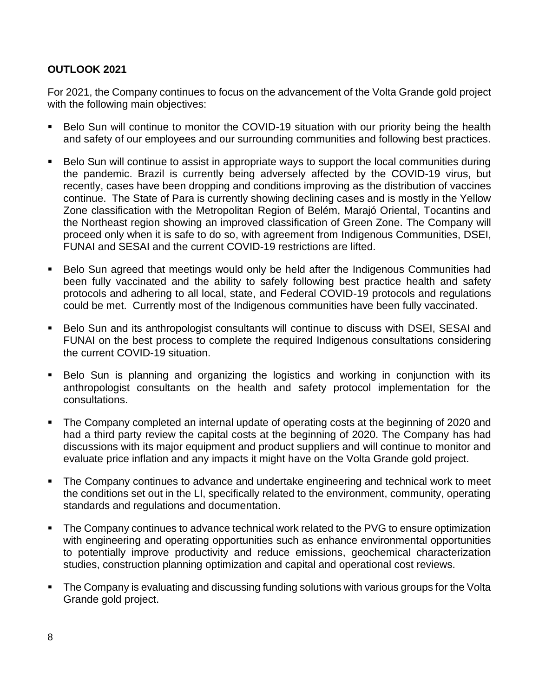# **OUTLOOK 2021**

For 2021, the Company continues to focus on the advancement of the Volta Grande gold project with the following main objectives:

- Belo Sun will continue to monitor the COVID-19 situation with our priority being the health and safety of our employees and our surrounding communities and following best practices.
- Belo Sun will continue to assist in appropriate ways to support the local communities during the pandemic. Brazil is currently being adversely affected by the COVID-19 virus, but recently, cases have been dropping and conditions improving as the distribution of vaccines continue. The State of Para is currently showing declining cases and is mostly in the Yellow Zone classification with the Metropolitan Region of Belém, Marajó Oriental, Tocantins and the Northeast region showing an improved classification of Green Zone. The Company will proceed only when it is safe to do so, with agreement from Indigenous Communities, DSEI, FUNAI and SESAI and the current COVID-19 restrictions are lifted.
- Belo Sun agreed that meetings would only be held after the Indigenous Communities had been fully vaccinated and the ability to safely following best practice health and safety protocols and adhering to all local, state, and Federal COVID-19 protocols and regulations could be met. Currently most of the Indigenous communities have been fully vaccinated.
- Belo Sun and its anthropologist consultants will continue to discuss with DSEI, SESAI and FUNAI on the best process to complete the required Indigenous consultations considering the current COVID-19 situation.
- Belo Sun is planning and organizing the logistics and working in conjunction with its anthropologist consultants on the health and safety protocol implementation for the consultations.
- The Company completed an internal update of operating costs at the beginning of 2020 and had a third party review the capital costs at the beginning of 2020. The Company has had discussions with its major equipment and product suppliers and will continue to monitor and evaluate price inflation and any impacts it might have on the Volta Grande gold project.
- The Company continues to advance and undertake engineering and technical work to meet the conditions set out in the LI, specifically related to the environment, community, operating standards and regulations and documentation.
- The Company continues to advance technical work related to the PVG to ensure optimization with engineering and operating opportunities such as enhance environmental opportunities to potentially improve productivity and reduce emissions, geochemical characterization studies, construction planning optimization and capital and operational cost reviews.
- **•** The Company is evaluating and discussing funding solutions with various groups for the Volta Grande gold project.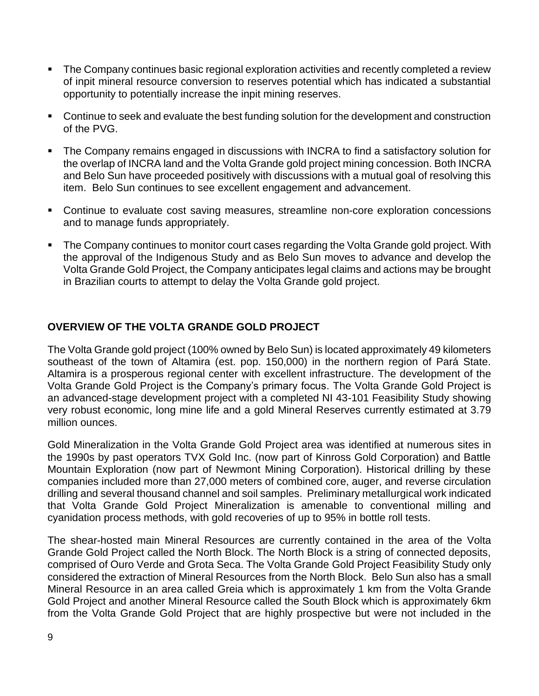- The Company continues basic regional exploration activities and recently completed a review of inpit mineral resource conversion to reserves potential which has indicated a substantial opportunity to potentially increase the inpit mining reserves.
- Continue to seek and evaluate the best funding solution for the development and construction of the PVG.
- The Company remains engaged in discussions with INCRA to find a satisfactory solution for the overlap of INCRA land and the Volta Grande gold project mining concession. Both INCRA and Belo Sun have proceeded positively with discussions with a mutual goal of resolving this item. Belo Sun continues to see excellent engagement and advancement.
- Continue to evaluate cost saving measures, streamline non-core exploration concessions and to manage funds appropriately.
- **•** The Company continues to monitor court cases regarding the Volta Grande gold project. With the approval of the Indigenous Study and as Belo Sun moves to advance and develop the Volta Grande Gold Project, the Company anticipates legal claims and actions may be brought in Brazilian courts to attempt to delay the Volta Grande gold project.

## **OVERVIEW OF THE VOLTA GRANDE GOLD PROJECT**

The Volta Grande gold project (100% owned by Belo Sun) is located approximately 49 kilometers southeast of the town of Altamira (est. pop. 150,000) in the northern region of Pará State. Altamira is a prosperous regional center with excellent infrastructure. The development of the Volta Grande Gold Project is the Company's primary focus. The Volta Grande Gold Project is an advanced-stage development project with a completed NI 43-101 Feasibility Study showing very robust economic, long mine life and a gold Mineral Reserves currently estimated at 3.79 million ounces.

Gold Mineralization in the Volta Grande Gold Project area was identified at numerous sites in the 1990s by past operators TVX Gold Inc. (now part of Kinross Gold Corporation) and Battle Mountain Exploration (now part of Newmont Mining Corporation). Historical drilling by these companies included more than 27,000 meters of combined core, auger, and reverse circulation drilling and several thousand channel and soil samples. Preliminary metallurgical work indicated that Volta Grande Gold Project Mineralization is amenable to conventional milling and cyanidation process methods, with gold recoveries of up to 95% in bottle roll tests.

The shear-hosted main Mineral Resources are currently contained in the area of the Volta Grande Gold Project called the North Block. The North Block is a string of connected deposits, comprised of Ouro Verde and Grota Seca. The Volta Grande Gold Project Feasibility Study only considered the extraction of Mineral Resources from the North Block. Belo Sun also has a small Mineral Resource in an area called Greia which is approximately 1 km from the Volta Grande Gold Project and another Mineral Resource called the South Block which is approximately 6km from the Volta Grande Gold Project that are highly prospective but were not included in the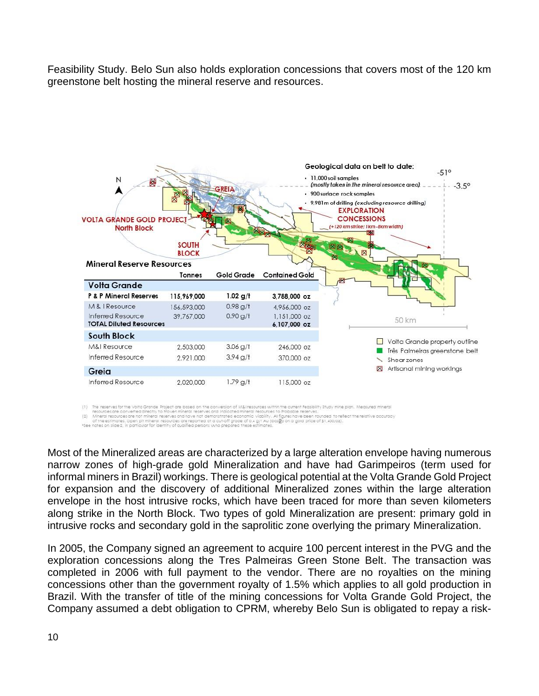Feasibility Study. Belo Sun also holds exploration concessions that covers most of the 120 km greenstone belt hosting the mineral reserve and resources.



The reserves for the Volta Grande Project are based on the conversion of M&I resources within the current Feasibility Study mine plan. Measured mineral<br>resources are nonverted afrechly to Proven mineral reserves and nation

Most of the Mineralized areas are characterized by a large alteration envelope having numerous narrow zones of high-grade gold Mineralization and have had Garimpeiros (term used for informal miners in Brazil) workings. There is geological potential at the Volta Grande Gold Project for expansion and the discovery of additional Mineralized zones within the large alteration envelope in the host intrusive rocks, which have been traced for more than seven kilometers along strike in the North Block. Two types of gold Mineralization are present: primary gold in intrusive rocks and secondary gold in the saprolitic zone overlying the primary Mineralization.

In 2005, the Company signed an agreement to acquire 100 percent interest in the PVG and the exploration concessions along the Tres Palmeiras Green Stone Belt. The transaction was completed in 2006 with full payment to the vendor. There are no royalties on the mining concessions other than the government royalty of 1.5% which applies to all gold production in Brazil. With the transfer of title of the mining concessions for Volta Grande Gold Project, the Company assumed a debt obligation to CPRM, whereby Belo Sun is obligated to repay a risk-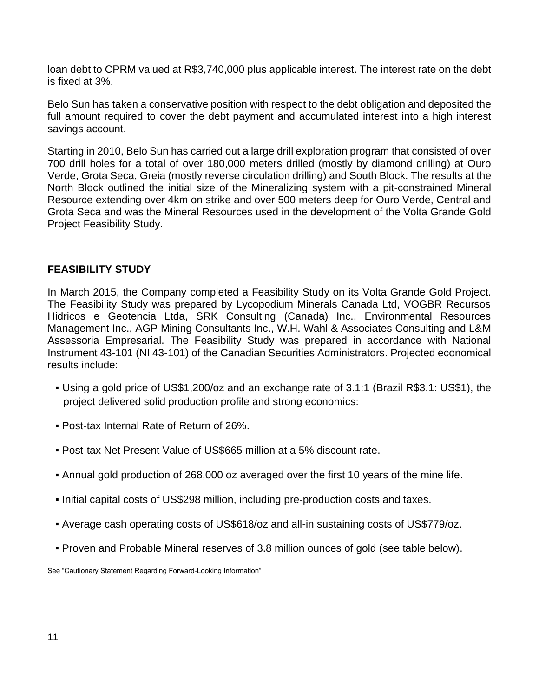loan debt to CPRM valued at R\$3,740,000 plus applicable interest. The interest rate on the debt is fixed at 3%.

Belo Sun has taken a conservative position with respect to the debt obligation and deposited the full amount required to cover the debt payment and accumulated interest into a high interest savings account.

Starting in 2010, Belo Sun has carried out a large drill exploration program that consisted of over 700 drill holes for a total of over 180,000 meters drilled (mostly by diamond drilling) at Ouro Verde, Grota Seca, Greia (mostly reverse circulation drilling) and South Block. The results at the North Block outlined the initial size of the Mineralizing system with a pit-constrained Mineral Resource extending over 4km on strike and over 500 meters deep for Ouro Verde, Central and Grota Seca and was the Mineral Resources used in the development of the Volta Grande Gold Project Feasibility Study.

#### **FEASIBILITY STUDY**

In March 2015, the Company completed a Feasibility Study on its Volta Grande Gold Project. The Feasibility Study was prepared by Lycopodium Minerals Canada Ltd, VOGBR Recursos Hidricos e Geotencia Ltda, SRK Consulting (Canada) Inc., Environmental Resources Management Inc., AGP Mining Consultants Inc., W.H. Wahl & Associates Consulting and L&M Assessoria Empresarial. The Feasibility Study was prepared in accordance with National Instrument 43-101 (NI 43-101) of the Canadian Securities Administrators. Projected economical results include:

- Using a gold price of US\$1,200/oz and an exchange rate of 3.1:1 (Brazil R\$3.1: US\$1), the project delivered solid production profile and strong economics:
- Post-tax Internal Rate of Return of 26%.
- Post-tax Net Present Value of US\$665 million at a 5% discount rate.
- Annual gold production of 268,000 oz averaged over the first 10 years of the mine life.
- Initial capital costs of US\$298 million, including pre-production costs and taxes.
- Average cash operating costs of US\$618/oz and all-in sustaining costs of US\$779/oz.
- Proven and Probable Mineral reserves of 3.8 million ounces of gold (see table below).

See "Cautionary Statement Regarding Forward-Looking Information"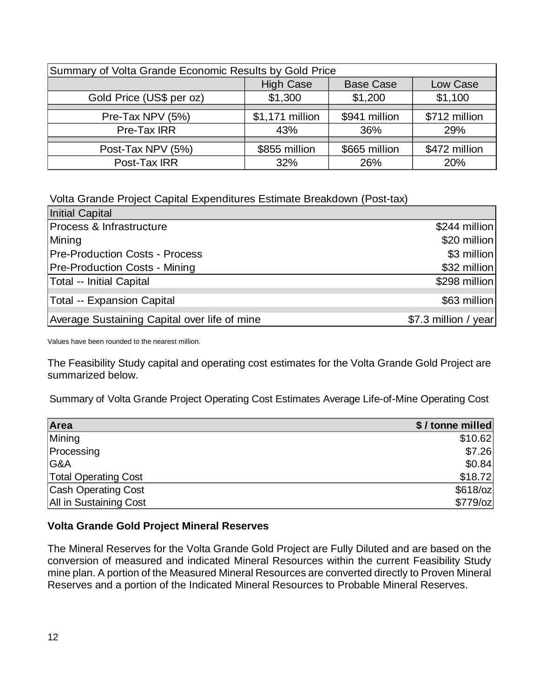| Summary of Volta Grande Economic Results by Gold Price |                                                  |               |               |  |  |  |  |
|--------------------------------------------------------|--------------------------------------------------|---------------|---------------|--|--|--|--|
|                                                        | <b>High Case</b><br><b>Base Case</b><br>Low Case |               |               |  |  |  |  |
| Gold Price (US\$ per oz)                               | \$1,300                                          | \$1,200       | \$1,100       |  |  |  |  |
|                                                        |                                                  |               |               |  |  |  |  |
| Pre-Tax NPV (5%)                                       | \$1,171 million                                  | \$941 million | \$712 million |  |  |  |  |
| Pre-Tax IRR                                            | 43%                                              | 36%           | 29%           |  |  |  |  |
|                                                        |                                                  |               |               |  |  |  |  |
| Post-Tax NPV (5%)                                      | \$855 million                                    | \$665 million | \$472 million |  |  |  |  |
| Post-Tax IRR                                           | 32%                                              | 26%           | 20%           |  |  |  |  |

Volta Grande Project Capital Expenditures Estimate Breakdown (Post-tax)

| <b>Initial Capital</b>                       |                      |
|----------------------------------------------|----------------------|
| Process & Infrastructure                     | \$244 million        |
| Mining                                       | \$20 million         |
| <b>Pre-Production Costs - Process</b>        | \$3 million          |
| <b>Pre-Production Costs - Mining</b>         | \$32 million         |
| Total -- Initial Capital                     | \$298 million        |
| Total -- Expansion Capital                   | \$63 million         |
| Average Sustaining Capital over life of mine | \$7.3 million / year |

Values have been rounded to the nearest million.

The Feasibility Study capital and operating cost estimates for the Volta Grande Gold Project are summarized below.

Summary of Volta Grande Project Operating Cost Estimates Average Life-of-Mine Operating Cost

| Area                        | \$/tonne milled |
|-----------------------------|-----------------|
| Mining                      | \$10.62         |
| Processing                  | \$7.26          |
| G&A                         | \$0.84          |
| <b>Total Operating Cost</b> | \$18.72         |
| <b>Cash Operating Cost</b>  | $$618$ /oz      |
| All in Sustaining Cost      | $$779$ /oz      |

## **Volta Grande Gold Project Mineral Reserves**

The Mineral Reserves for the Volta Grande Gold Project are Fully Diluted and are based on the conversion of measured and indicated Mineral Resources within the current Feasibility Study mine plan. A portion of the Measured Mineral Resources are converted directly to Proven Mineral Reserves and a portion of the Indicated Mineral Resources to Probable Mineral Reserves.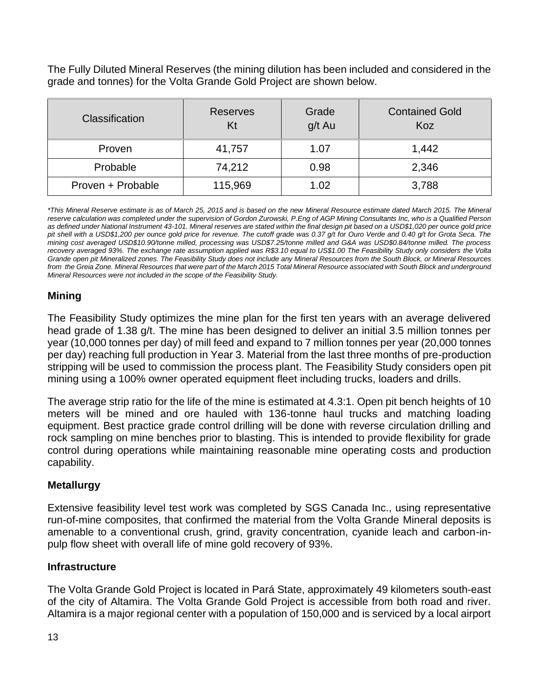The Fully Diluted Mineral Reserves (the mining dilution has been included and considered in the grade and tonnes) for the Volta Grande Gold Project are shown below.

| <b>Classification</b> | <b>Reserves</b><br>Kt | Grade<br>g/t Au | <b>Contained Gold</b><br>Koz |
|-----------------------|-----------------------|-----------------|------------------------------|
| Proven                | 41,757                | 1.07            | 1,442                        |
| Probable              | 74,212                | 0.98            | 2,346                        |
| Proven + Probable     | 115,969               | 1.02            | 3,788                        |

*\*This Mineral Reserve estimate is as of March 25, 2015 and is based on the new Mineral Resource estimate dated March 2015. The Mineral reserve calculation was completed under the supervision of Gordon Zurowski, P.Eng of AGP Mining Consultants Inc, who is a Qualified Person as defined under National Instrument 43-101. Mineral reserves are stated within the final design pit based on a USD\$1,020 per ounce gold price pit shell with a USD\$1,200 per ounce gold price for revenue. The cutoff grade was 0.37 g/t for Ouro Verde and 0.40 g/t for Grota Seca. The mining cost averaged USD\$10.90/tonne milled, processing was USD\$7.25/tonne milled and G&A was USD\$0.84/tonne milled. The process recovery averaged 93%. The exchange rate assumption applied was R\$3.10 equal to US\$1.00 The Feasibility Study only considers the Volta Grande open pit Mineralized zones. The Feasibility Study does not include any Mineral Resources from the South Block, or Mineral Resources from the Greia Zone. Mineral Resources that were part of the March 2015 Total Mineral Resource associated with South Block and underground Mineral Resources were not included in the scope of the Feasibility Study.* 

# **Mining**

The Feasibility Study optimizes the mine plan for the first ten years with an average delivered head grade of 1.38 g/t. The mine has been designed to deliver an initial 3.5 million tonnes per year (10,000 tonnes per day) of mill feed and expand to 7 million tonnes per year (20,000 tonnes per day) reaching full production in Year 3. Material from the last three months of pre-production stripping will be used to commission the process plant. The Feasibility Study considers open pit mining using a 100% owner operated equipment fleet including trucks, loaders and drills.

The average strip ratio for the life of the mine is estimated at 4.3:1. Open pit bench heights of 10 meters will be mined and ore hauled with 136-tonne haul trucks and matching loading equipment. Best practice grade control drilling will be done with reverse circulation drilling and rock sampling on mine benches prior to blasting. This is intended to provide flexibility for grade control during operations while maintaining reasonable mine operating costs and production capability.

# **Metallurgy**

Extensive feasibility level test work was completed by SGS Canada Inc., using representative run-of-mine composites, that confirmed the material from the Volta Grande Mineral deposits is amenable to a conventional crush, grind, gravity concentration, cyanide leach and carbon-inpulp flow sheet with overall life of mine gold recovery of 93%.

# **Infrastructure**

The Volta Grande Gold Project is located in Pará State, approximately 49 kilometers south-east of the city of Altamira. The Volta Grande Gold Project is accessible from both road and river. Altamira is a major regional center with a population of 150,000 and is serviced by a local airport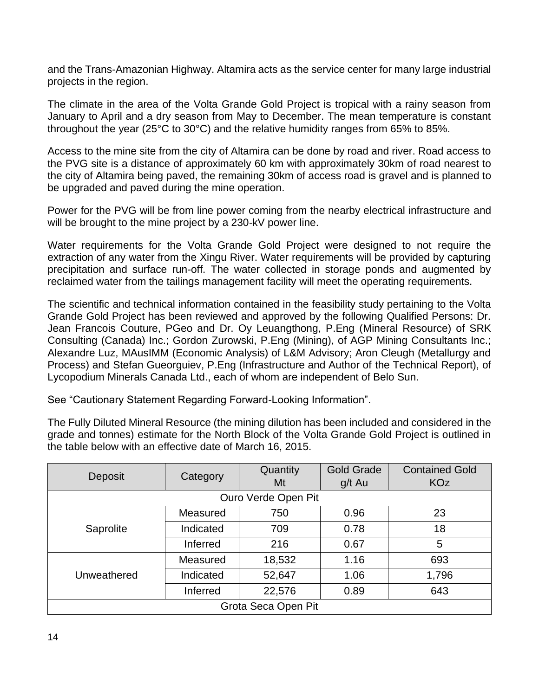and the Trans-Amazonian Highway. Altamira acts as the service center for many large industrial projects in the region.

The climate in the area of the Volta Grande Gold Project is tropical with a rainy season from January to April and a dry season from May to December. The mean temperature is constant throughout the year (25°C to 30°C) and the relative humidity ranges from 65% to 85%.

Access to the mine site from the city of Altamira can be done by road and river. Road access to the PVG site is a distance of approximately 60 km with approximately 30km of road nearest to the city of Altamira being paved, the remaining 30km of access road is gravel and is planned to be upgraded and paved during the mine operation.

Power for the PVG will be from line power coming from the nearby electrical infrastructure and will be brought to the mine project by a 230-kV power line.

Water requirements for the Volta Grande Gold Project were designed to not require the extraction of any water from the Xingu River. Water requirements will be provided by capturing precipitation and surface run-off. The water collected in storage ponds and augmented by reclaimed water from the tailings management facility will meet the operating requirements.

The scientific and technical information contained in the feasibility study pertaining to the Volta Grande Gold Project has been reviewed and approved by the following Qualified Persons: Dr. Jean Francois Couture, PGeo and Dr. Oy Leuangthong, P.Eng (Mineral Resource) of SRK Consulting (Canada) Inc.; Gordon Zurowski, P.Eng (Mining), of AGP Mining Consultants Inc.; Alexandre Luz, MAusIMM (Economic Analysis) of L&M Advisory; Aron Cleugh (Metallurgy and Process) and Stefan Gueorguiev, P.Eng (Infrastructure and Author of the Technical Report), of Lycopodium Minerals Canada Ltd., each of whom are independent of Belo Sun.

See "Cautionary Statement Regarding Forward-Looking Information".

The Fully Diluted Mineral Resource (the mining dilution has been included and considered in the grade and tonnes) estimate for the North Block of the Volta Grande Gold Project is outlined in the table below with an effective date of March 16, 2015.

|             |                 | Quantity            | <b>Gold Grade</b> | <b>Contained Gold</b> |  |  |
|-------------|-----------------|---------------------|-------------------|-----------------------|--|--|
| Deposit     | Category        | Mt                  | g/t Au            | <b>KOz</b>            |  |  |
|             |                 | Ouro Verde Open Pit |                   |                       |  |  |
|             | Measured        | 750                 | 0.96              | 23                    |  |  |
| Saprolite   | Indicated       |                     | 0.78              | 18                    |  |  |
|             | Inferred        | 216                 | 0.67              | 5                     |  |  |
|             | Measured        | 18,532              | 1.16              | 693                   |  |  |
| Unweathered | Indicated       | 52,647              | 1.06              | 1,796                 |  |  |
|             | <b>Inferred</b> | 22,576              | 0.89              | 643                   |  |  |
|             |                 | Grota Seca Open Pit |                   |                       |  |  |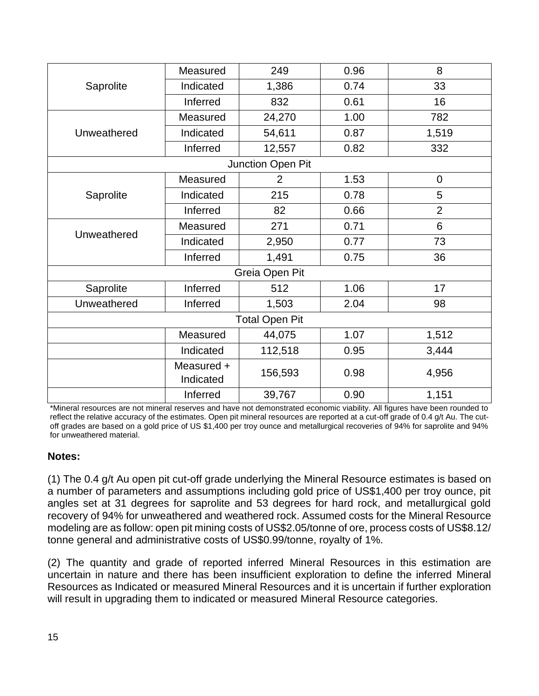|             | Measured                | 249                   | 0.96 | 8              |
|-------------|-------------------------|-----------------------|------|----------------|
| Saprolite   | Indicated               | 1,386                 | 0.74 | 33             |
|             | Inferred                | 832                   | 0.61 | 16             |
|             | Measured                | 24,270                | 1.00 | 782            |
| Unweathered | Indicated               | 54,611                | 0.87 | 1,519          |
|             | Inferred                | 12,557                | 0.82 | 332            |
|             |                         | Junction Open Pit     |      |                |
|             | Measured                | $\overline{2}$        | 1.53 | $\mathbf 0$    |
| Saprolite   | Indicated               | 215                   | 0.78 | 5              |
|             | Inferred                | 82                    | 0.66 | $\overline{2}$ |
|             | Measured                | 271                   | 0.71 | 6              |
| Unweathered | Indicated               | 2,950                 | 0.77 | 73             |
|             | Inferred                | 1,491                 | 0.75 | 36             |
|             |                         | Greia Open Pit        |      |                |
| Saprolite   | Inferred                | 512                   | 1.06 | 17             |
| Unweathered | Inferred                | 1,503                 | 2.04 | 98             |
|             |                         | <b>Total Open Pit</b> |      |                |
|             | Measured                | 44,075                | 1.07 | 1,512          |
|             | Indicated               | 112,518               | 0.95 | 3,444          |
|             | Measured +<br>Indicated | 156,593               | 0.98 | 4,956          |
|             | Inferred                | 39,767                | 0.90 | 1,151          |

\*Mineral resources are not mineral reserves and have not demonstrated economic viability. All figures have been rounded to reflect the relative accuracy of the estimates. Open pit mineral resources are reported at a cut-off grade of 0.4 g/t Au. The cutoff grades are based on a gold price of US \$1,400 per troy ounce and metallurgical recoveries of 94% for saprolite and 94% for unweathered material.

# **Notes:**

(1) The 0.4 g/t Au open pit cut-off grade underlying the Mineral Resource estimates is based on a number of parameters and assumptions including gold price of US\$1,400 per troy ounce, pit angles set at 31 degrees for saprolite and 53 degrees for hard rock, and metallurgical gold recovery of 94% for unweathered and weathered rock. Assumed costs for the Mineral Resource modeling are as follow: open pit mining costs of US\$2.05/tonne of ore, process costs of US\$8.12/ tonne general and administrative costs of US\$0.99/tonne, royalty of 1%.

(2) The quantity and grade of reported inferred Mineral Resources in this estimation are uncertain in nature and there has been insufficient exploration to define the inferred Mineral Resources as Indicated or measured Mineral Resources and it is uncertain if further exploration will result in upgrading them to indicated or measured Mineral Resource categories.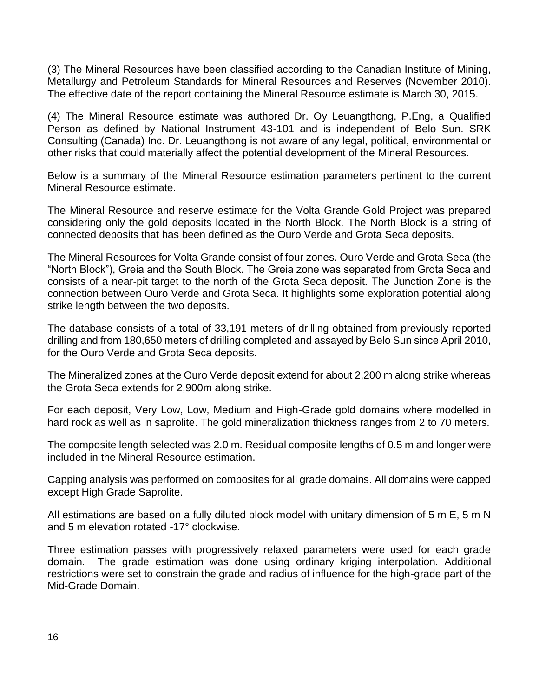(3) The Mineral Resources have been classified according to the Canadian Institute of Mining, Metallurgy and Petroleum Standards for Mineral Resources and Reserves (November 2010). The effective date of the report containing the Mineral Resource estimate is March 30, 2015.

(4) The Mineral Resource estimate was authored Dr. Oy Leuangthong, P.Eng, a Qualified Person as defined by National Instrument 43-101 and is independent of Belo Sun. SRK Consulting (Canada) Inc. Dr. Leuangthong is not aware of any legal, political, environmental or other risks that could materially affect the potential development of the Mineral Resources.

Below is a summary of the Mineral Resource estimation parameters pertinent to the current Mineral Resource estimate.

The Mineral Resource and reserve estimate for the Volta Grande Gold Project was prepared considering only the gold deposits located in the North Block. The North Block is a string of connected deposits that has been defined as the Ouro Verde and Grota Seca deposits.

The Mineral Resources for Volta Grande consist of four zones. Ouro Verde and Grota Seca (the "North Block"), Greia and the South Block. The Greia zone was separated from Grota Seca and consists of a near-pit target to the north of the Grota Seca deposit. The Junction Zone is the connection between Ouro Verde and Grota Seca. It highlights some exploration potential along strike length between the two deposits.

The database consists of a total of 33,191 meters of drilling obtained from previously reported drilling and from 180,650 meters of drilling completed and assayed by Belo Sun since April 2010, for the Ouro Verde and Grota Seca deposits.

The Mineralized zones at the Ouro Verde deposit extend for about 2,200 m along strike whereas the Grota Seca extends for 2,900m along strike.

For each deposit, Very Low, Low, Medium and High-Grade gold domains where modelled in hard rock as well as in saprolite. The gold mineralization thickness ranges from 2 to 70 meters.

The composite length selected was 2.0 m. Residual composite lengths of 0.5 m and longer were included in the Mineral Resource estimation.

Capping analysis was performed on composites for all grade domains. All domains were capped except High Grade Saprolite.

All estimations are based on a fully diluted block model with unitary dimension of 5 m E, 5 m N and 5 m elevation rotated -17° clockwise.

Three estimation passes with progressively relaxed parameters were used for each grade domain. The grade estimation was done using ordinary kriging interpolation. Additional restrictions were set to constrain the grade and radius of influence for the high-grade part of the Mid-Grade Domain.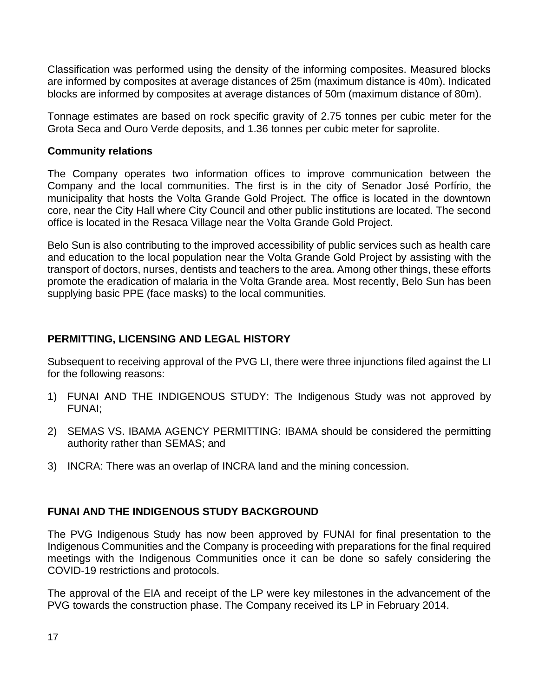Classification was performed using the density of the informing composites. Measured blocks are informed by composites at average distances of 25m (maximum distance is 40m). Indicated blocks are informed by composites at average distances of 50m (maximum distance of 80m).

Tonnage estimates are based on rock specific gravity of 2.75 tonnes per cubic meter for the Grota Seca and Ouro Verde deposits, and 1.36 tonnes per cubic meter for saprolite.

#### **Community relations**

The Company operates two information offices to improve communication between the Company and the local communities. The first is in the city of Senador José Porfírio, the municipality that hosts the Volta Grande Gold Project. The office is located in the downtown core, near the City Hall where City Council and other public institutions are located. The second office is located in the Resaca Village near the Volta Grande Gold Project.

Belo Sun is also contributing to the improved accessibility of public services such as health care and education to the local population near the Volta Grande Gold Project by assisting with the transport of doctors, nurses, dentists and teachers to the area. Among other things, these efforts promote the eradication of malaria in the Volta Grande area. Most recently, Belo Sun has been supplying basic PPE (face masks) to the local communities.

## **PERMITTING, LICENSING AND LEGAL HISTORY**

Subsequent to receiving approval of the PVG LI, there were three injunctions filed against the LI for the following reasons:

- 1) FUNAI AND THE INDIGENOUS STUDY: The Indigenous Study was not approved by FUNAI;
- 2) SEMAS VS. IBAMA AGENCY PERMITTING: IBAMA should be considered the permitting authority rather than SEMAS; and
- 3) INCRA: There was an overlap of INCRA land and the mining concession.

## **FUNAI AND THE INDIGENOUS STUDY BACKGROUND**

The PVG Indigenous Study has now been approved by FUNAI for final presentation to the Indigenous Communities and the Company is proceeding with preparations for the final required meetings with the Indigenous Communities once it can be done so safely considering the COVID-19 restrictions and protocols.

The approval of the EIA and receipt of the LP were key milestones in the advancement of the PVG towards the construction phase. The Company received its LP in February 2014.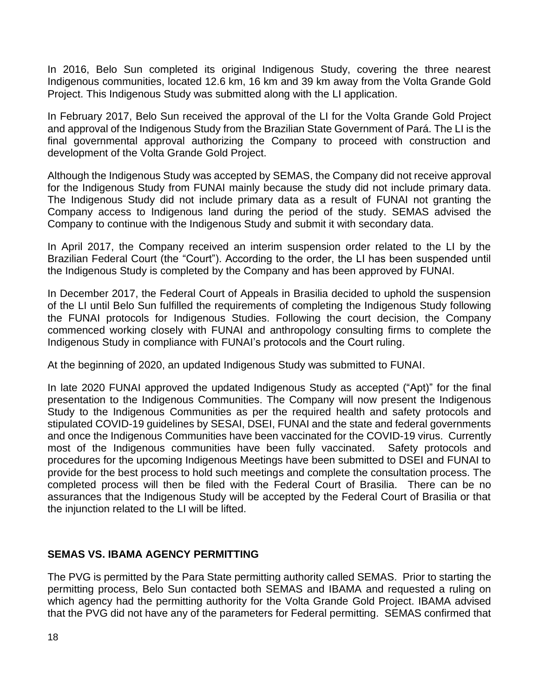In 2016, Belo Sun completed its original Indigenous Study, covering the three nearest Indigenous communities, located 12.6 km, 16 km and 39 km away from the Volta Grande Gold Project. This Indigenous Study was submitted along with the LI application.

In February 2017, Belo Sun received the approval of the LI for the Volta Grande Gold Project and approval of the Indigenous Study from the Brazilian State Government of Pará. The LI is the final governmental approval authorizing the Company to proceed with construction and development of the Volta Grande Gold Project.

Although the Indigenous Study was accepted by SEMAS, the Company did not receive approval for the Indigenous Study from FUNAI mainly because the study did not include primary data. The Indigenous Study did not include primary data as a result of FUNAI not granting the Company access to Indigenous land during the period of the study. SEMAS advised the Company to continue with the Indigenous Study and submit it with secondary data.

In April 2017, the Company received an interim suspension order related to the LI by the Brazilian Federal Court (the "Court"). According to the order, the LI has been suspended until the Indigenous Study is completed by the Company and has been approved by FUNAI.

In December 2017, the Federal Court of Appeals in Brasilia decided to uphold the suspension of the LI until Belo Sun fulfilled the requirements of completing the Indigenous Study following the FUNAI protocols for Indigenous Studies. Following the court decision, the Company commenced working closely with FUNAI and anthropology consulting firms to complete the Indigenous Study in compliance with FUNAI's protocols and the Court ruling.

At the beginning of 2020, an updated Indigenous Study was submitted to FUNAI.

In late 2020 FUNAI approved the updated Indigenous Study as accepted ("Apt)" for the final presentation to the Indigenous Communities. The Company will now present the Indigenous Study to the Indigenous Communities as per the required health and safety protocols and stipulated COVID-19 guidelines by SESAI, DSEI, FUNAI and the state and federal governments and once the Indigenous Communities have been vaccinated for the COVID-19 virus. Currently most of the Indigenous communities have been fully vaccinated. Safety protocols and procedures for the upcoming Indigenous Meetings have been submitted to DSEI and FUNAI to provide for the best process to hold such meetings and complete the consultation process. The completed process will then be filed with the Federal Court of Brasilia. There can be no assurances that the Indigenous Study will be accepted by the Federal Court of Brasilia or that the injunction related to the LI will be lifted.

# **SEMAS VS. IBAMA AGENCY PERMITTING**

The PVG is permitted by the Para State permitting authority called SEMAS. Prior to starting the permitting process, Belo Sun contacted both SEMAS and IBAMA and requested a ruling on which agency had the permitting authority for the Volta Grande Gold Project. IBAMA advised that the PVG did not have any of the parameters for Federal permitting. SEMAS confirmed that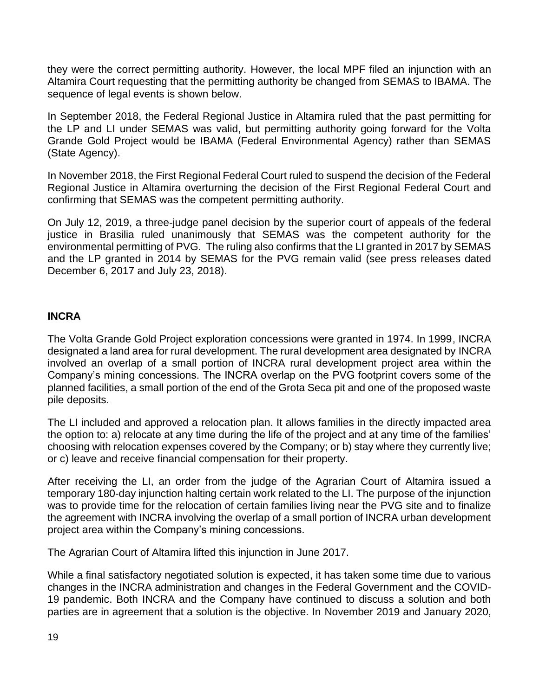they were the correct permitting authority. However, the local MPF filed an injunction with an Altamira Court requesting that the permitting authority be changed from SEMAS to IBAMA. The sequence of legal events is shown below.

In September 2018, the Federal Regional Justice in Altamira ruled that the past permitting for the LP and LI under SEMAS was valid, but permitting authority going forward for the Volta Grande Gold Project would be IBAMA (Federal Environmental Agency) rather than SEMAS (State Agency).

In November 2018, the First Regional Federal Court ruled to suspend the decision of the Federal Regional Justice in Altamira overturning the decision of the First Regional Federal Court and confirming that SEMAS was the competent permitting authority.

On July 12, 2019, a three-judge panel decision by the superior court of appeals of the federal justice in Brasilia ruled unanimously that SEMAS was the competent authority for the environmental permitting of PVG. The ruling also confirms that the LI granted in 2017 by SEMAS and the LP granted in 2014 by SEMAS for the PVG remain valid (see press releases dated December 6, 2017 and July 23, 2018).

## **INCRA**

The Volta Grande Gold Project exploration concessions were granted in 1974. In 1999, INCRA designated a land area for rural development. The rural development area designated by INCRA involved an overlap of a small portion of INCRA rural development project area within the Company's mining concessions. The INCRA overlap on the PVG footprint covers some of the planned facilities, a small portion of the end of the Grota Seca pit and one of the proposed waste pile deposits.

The LI included and approved a relocation plan. It allows families in the directly impacted area the option to: a) relocate at any time during the life of the project and at any time of the families' choosing with relocation expenses covered by the Company; or b) stay where they currently live; or c) leave and receive financial compensation for their property.

After receiving the LI, an order from the judge of the Agrarian Court of Altamira issued a temporary 180-day injunction halting certain work related to the LI. The purpose of the injunction was to provide time for the relocation of certain families living near the PVG site and to finalize the agreement with INCRA involving the overlap of a small portion of INCRA urban development project area within the Company's mining concessions.

The Agrarian Court of Altamira lifted this injunction in June 2017.

While a final satisfactory negotiated solution is expected, it has taken some time due to various changes in the INCRA administration and changes in the Federal Government and the COVID-19 pandemic. Both INCRA and the Company have continued to discuss a solution and both parties are in agreement that a solution is the objective. In November 2019 and January 2020,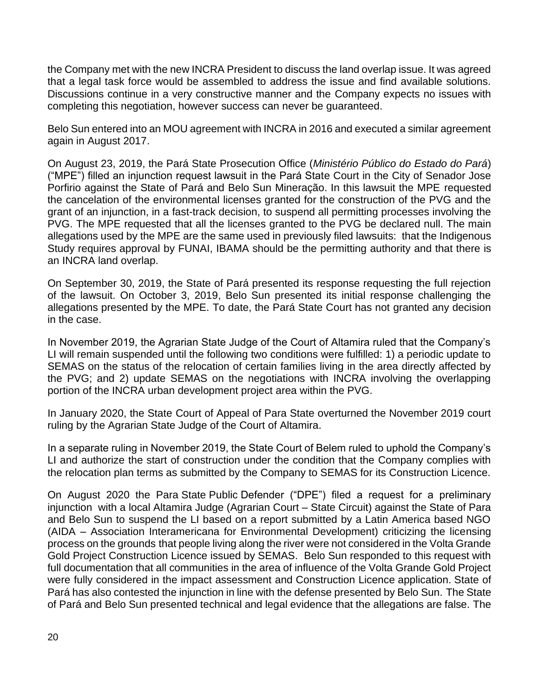the Company met with the new INCRA President to discuss the land overlap issue. It was agreed that a legal task force would be assembled to address the issue and find available solutions. Discussions continue in a very constructive manner and the Company expects no issues with completing this negotiation, however success can never be guaranteed.

Belo Sun entered into an MOU agreement with INCRA in 2016 and executed a similar agreement again in August 2017.

On August 23, 2019, the Pará State Prosecution Office (*Ministério Público do Estado do Pará*) ("MPE") filled an injunction request lawsuit in the Pará State Court in the City of Senador Jose Porfirio against the State of Pará and Belo Sun Mineração. In this lawsuit the MPE requested the cancelation of the environmental licenses granted for the construction of the PVG and the grant of an injunction, in a fast-track decision, to suspend all permitting processes involving the PVG. The MPE requested that all the licenses granted to the PVG be declared null. The main allegations used by the MPE are the same used in previously filed lawsuits: that the Indigenous Study requires approval by FUNAI, IBAMA should be the permitting authority and that there is an INCRA land overlap.

On September 30, 2019, the State of Pará presented its response requesting the full rejection of the lawsuit. On October 3, 2019, Belo Sun presented its initial response challenging the allegations presented by the MPE. To date, the Pará State Court has not granted any decision in the case.

In November 2019, the Agrarian State Judge of the Court of Altamira ruled that the Company's LI will remain suspended until the following two conditions were fulfilled: 1) a periodic update to SEMAS on the status of the relocation of certain families living in the area directly affected by the PVG; and 2) update SEMAS on the negotiations with INCRA involving the overlapping portion of the INCRA urban development project area within the PVG.

In January 2020, the State Court of Appeal of Para State overturned the November 2019 court ruling by the Agrarian State Judge of the Court of Altamira.

In a separate ruling in November 2019, the State Court of Belem ruled to uphold the Company's LI and authorize the start of construction under the condition that the Company complies with the relocation plan terms as submitted by the Company to SEMAS for its Construction Licence.

On August 2020 the Para State Public Defender ("DPE") filed a request for a preliminary injunction with a local Altamira Judge (Agrarian Court – State Circuit) against the State of Para and Belo Sun to suspend the LI based on a report submitted by a Latin America based NGO (AIDA – Association Interamericana for Environmental Development) criticizing the licensing process on the grounds that people living along the river were not considered in the Volta Grande Gold Project Construction Licence issued by SEMAS. Belo Sun responded to this request with full documentation that all communities in the area of influence of the Volta Grande Gold Project were fully considered in the impact assessment and Construction Licence application. State of Pará has also contested the injunction in line with the defense presented by Belo Sun. The State of Pará and Belo Sun presented technical and legal evidence that the allegations are false. The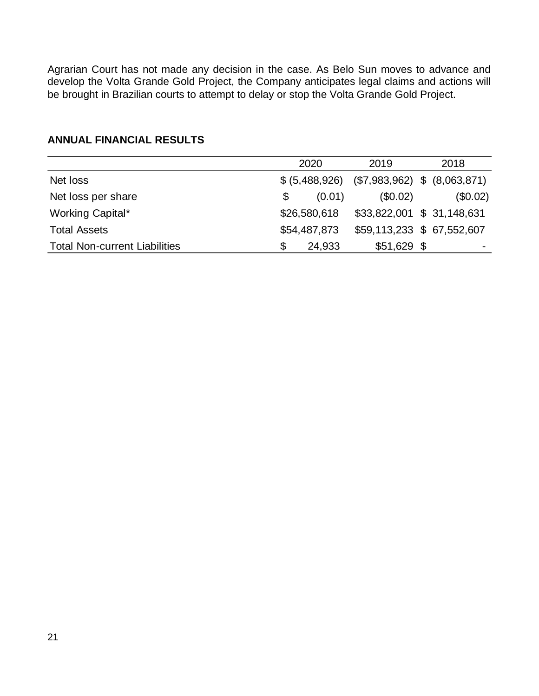Agrarian Court has not made any decision in the case. As Belo Sun moves to advance and develop the Volta Grande Gold Project, the Company anticipates legal claims and actions will be brought in Brazilian courts to attempt to delay or stop the Volta Grande Gold Project.

|                                      | 2020           | 2019         | 2018                           |
|--------------------------------------|----------------|--------------|--------------------------------|
| Net loss                             | \$ (5,488,926) |              | (\$7,983,962) \$ (\$0,063,871) |
| Net loss per share                   | (0.01)<br>\$   | $(\$0.02)$   | $(\$0.02)$                     |
| Working Capital*                     | \$26,580,618   |              | \$33,822,001 \$ 31,148,631     |
| <b>Total Assets</b>                  | \$54,487,873   |              | \$59,113,233 \$ 67,552,607     |
| <b>Total Non-current Liabilities</b> | 24,933<br>S    | $$51,629$ \$ | ۰                              |

## **ANNUAL FINANCIAL RESULTS**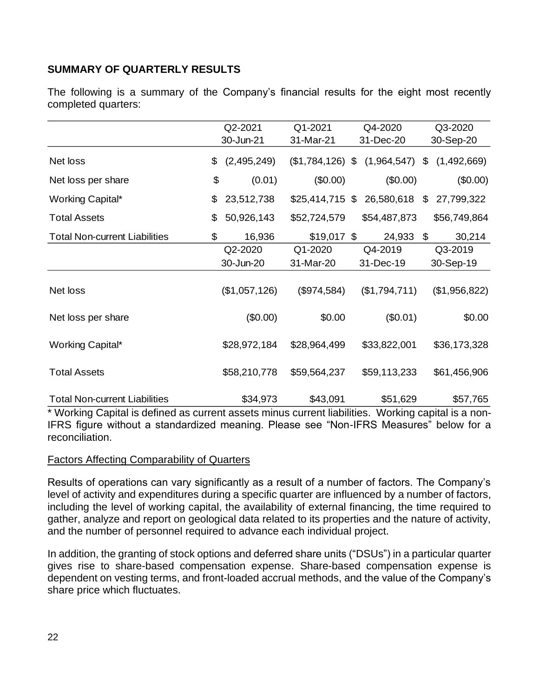# **SUMMARY OF QUARTERLY RESULTS**

The following is a summary of the Company's financial results for the eight most recently completed quarters:

|                                      |    |               | Q2-2021<br>Q1-2021 |  | Q4-2020       | Q3-2020 |               |  |
|--------------------------------------|----|---------------|--------------------|--|---------------|---------|---------------|--|
|                                      |    | 30-Jun-21     | 31-Mar-21          |  | 31-Dec-20     |         | 30-Sep-20     |  |
| Net loss                             | \$ | (2,495,249)   | $($1,784,126)$ \$  |  | (1,964,547)   | \$      | (1,492,669)   |  |
| Net loss per share                   | \$ | (0.01)        | (\$0.00)           |  | (\$0.00)      |         | (\$0.00)      |  |
| Working Capital*                     | \$ | 23,512,738    | $$25,414,715$ \$   |  | 26,580,618    | \$      | 27,799,322    |  |
| <b>Total Assets</b>                  | \$ | 50,926,143    | \$52,724,579       |  | \$54,487,873  |         | \$56,749,864  |  |
| <b>Total Non-current Liabilities</b> | \$ | 16,936        | $$19,017$ \$       |  | 24,933        | \$      | 30,214        |  |
|                                      |    | Q2-2020       | Q1-2020            |  | Q4-2019       |         | Q3-2019       |  |
|                                      |    | 30-Jun-20     | 31-Mar-20          |  | 31-Dec-19     |         | 30-Sep-19     |  |
| Net loss                             |    | (\$1,057,126) | (\$974,584)        |  | (\$1,794,711) |         | (\$1,956,822) |  |
| Net loss per share                   |    | (\$0.00)      | \$0.00             |  | (\$0.01)      |         | \$0.00        |  |
| Working Capital*                     |    | \$28,972,184  | \$28,964,499       |  | \$33,822,001  |         | \$36,173,328  |  |
| <b>Total Assets</b>                  |    | \$58,210,778  | \$59,564,237       |  | \$59,113,233  |         | \$61,456,906  |  |
| <b>Total Non-current Liabilities</b> |    | \$34,973      | \$43,091           |  | \$51,629      |         | \$57,765      |  |

\* Working Capital is defined as current assets minus current liabilities. Working capital is a non-IFRS figure without a standardized meaning. Please see "Non-IFRS Measures" below for a reconciliation.

## Factors Affecting Comparability of Quarters

Results of operations can vary significantly as a result of a number of factors. The Company's level of activity and expenditures during a specific quarter are influenced by a number of factors, including the level of working capital, the availability of external financing, the time required to gather, analyze and report on geological data related to its properties and the nature of activity, and the number of personnel required to advance each individual project.

In addition, the granting of stock options and deferred share units ("DSUs") in a particular quarter gives rise to share-based compensation expense. Share-based compensation expense is dependent on vesting terms, and front-loaded accrual methods, and the value of the Company's share price which fluctuates.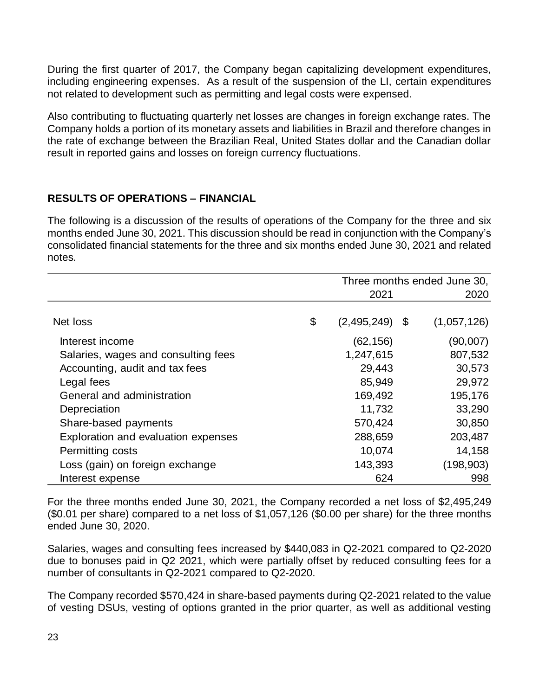During the first quarter of 2017, the Company began capitalizing development expenditures, including engineering expenses. As a result of the suspension of the LI, certain expenditures not related to development such as permitting and legal costs were expensed.

Also contributing to fluctuating quarterly net losses are changes in foreign exchange rates. The Company holds a portion of its monetary assets and liabilities in Brazil and therefore changes in the rate of exchange between the Brazilian Real, United States dollar and the Canadian dollar result in reported gains and losses on foreign currency fluctuations.

## **RESULTS OF OPERATIONS – FINANCIAL**

The following is a discussion of the results of operations of the Company for the three and six months ended June 30, 2021. This discussion should be read in conjunction with the Company's consolidated financial statements for the three and six months ended June 30, 2021 and related notes.

|                                     | Three months ended June 30, |    |             |  |
|-------------------------------------|-----------------------------|----|-------------|--|
|                                     | 2021                        |    | 2020        |  |
|                                     |                             |    |             |  |
| Net loss                            | \$<br>(2,495,249)           | \$ | (1,057,126) |  |
| Interest income                     | (62, 156)                   |    | (90,007)    |  |
| Salaries, wages and consulting fees | 1,247,615                   |    | 807,532     |  |
| Accounting, audit and tax fees      | 29,443                      |    | 30,573      |  |
| Legal fees                          | 85,949                      |    | 29,972      |  |
| General and administration          | 169,492                     |    | 195,176     |  |
| Depreciation                        | 11,732                      |    | 33,290      |  |
| Share-based payments                | 570,424                     |    | 30,850      |  |
| Exploration and evaluation expenses | 288,659                     |    | 203,487     |  |
| Permitting costs                    | 10,074                      |    | 14,158      |  |
| Loss (gain) on foreign exchange     | 143,393                     |    | (198, 903)  |  |
| Interest expense                    | 624                         |    | 998         |  |

For the three months ended June 30, 2021, the Company recorded a net loss of \$2,495,249 (\$0.01 per share) compared to a net loss of \$1,057,126 (\$0.00 per share) for the three months ended June 30, 2020.

Salaries, wages and consulting fees increased by \$440,083 in Q2-2021 compared to Q2-2020 due to bonuses paid in Q2 2021, which were partially offset by reduced consulting fees for a number of consultants in Q2-2021 compared to Q2-2020.

The Company recorded \$570,424 in share-based payments during Q2-2021 related to the value of vesting DSUs, vesting of options granted in the prior quarter, as well as additional vesting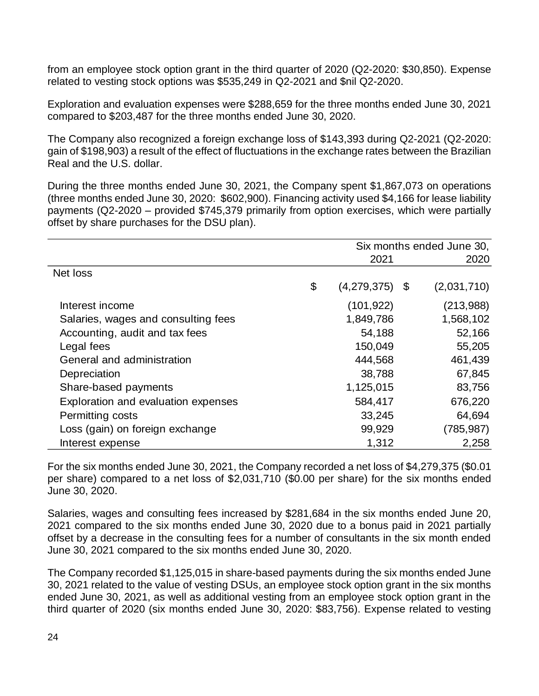from an employee stock option grant in the third quarter of 2020 (Q2-2020: \$30,850). Expense related to vesting stock options was \$535,249 in Q2-2021 and \$nil Q2-2020.

Exploration and evaluation expenses were \$288,659 for the three months ended June 30, 2021 compared to \$203,487 for the three months ended June 30, 2020.

The Company also recognized a foreign exchange loss of \$143,393 during Q2-2021 (Q2-2020: gain of \$198,903) a result of the effect of fluctuations in the exchange rates between the Brazilian Real and the U.S. dollar.

During the three months ended June 30, 2021, the Company spent \$1,867,073 on operations (three months ended June 30, 2020: \$602,900). Financing activity used \$4,166 for lease liability payments (Q2-2020 – provided \$745,379 primarily from option exercises, which were partially offset by share purchases for the DSU plan).

|                                     |                   | Six months ended June 30, |
|-------------------------------------|-------------------|---------------------------|
|                                     | 2021              | 2020                      |
| Net loss                            |                   |                           |
|                                     | \$<br>(4,279,375) | \$<br>(2,031,710)         |
| Interest income                     | (101, 922)        | (213,988)                 |
| Salaries, wages and consulting fees | 1,849,786         | 1,568,102                 |
| Accounting, audit and tax fees      | 54,188            | 52,166                    |
| Legal fees                          | 150,049           | 55,205                    |
| General and administration          | 444,568           | 461,439                   |
| Depreciation                        | 38,788            | 67,845                    |
| Share-based payments                | 1,125,015         | 83,756                    |
| Exploration and evaluation expenses | 584,417           | 676,220                   |
| Permitting costs                    | 33,245            | 64,694                    |
| Loss (gain) on foreign exchange     | 99,929            | (785, 987)                |
| Interest expense                    | 1,312             | 2,258                     |

For the six months ended June 30, 2021, the Company recorded a net loss of \$4,279,375 (\$0.01 per share) compared to a net loss of \$2,031,710 (\$0.00 per share) for the six months ended June 30, 2020.

Salaries, wages and consulting fees increased by \$281,684 in the six months ended June 20, 2021 compared to the six months ended June 30, 2020 due to a bonus paid in 2021 partially offset by a decrease in the consulting fees for a number of consultants in the six month ended June 30, 2021 compared to the six months ended June 30, 2020.

The Company recorded \$1,125,015 in share-based payments during the six months ended June 30, 2021 related to the value of vesting DSUs, an employee stock option grant in the six months ended June 30, 2021, as well as additional vesting from an employee stock option grant in the third quarter of 2020 (six months ended June 30, 2020: \$83,756). Expense related to vesting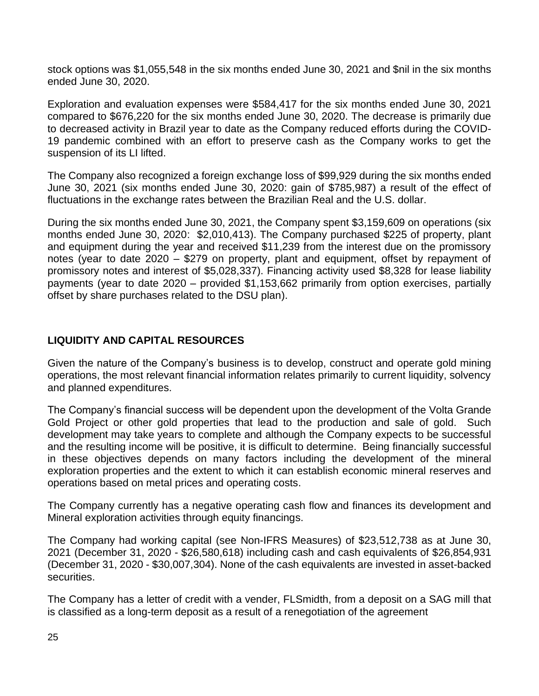stock options was \$1,055,548 in the six months ended June 30, 2021 and \$nil in the six months ended June 30, 2020.

Exploration and evaluation expenses were \$584,417 for the six months ended June 30, 2021 compared to \$676,220 for the six months ended June 30, 2020. The decrease is primarily due to decreased activity in Brazil year to date as the Company reduced efforts during the COVID-19 pandemic combined with an effort to preserve cash as the Company works to get the suspension of its LI lifted.

The Company also recognized a foreign exchange loss of \$99,929 during the six months ended June 30, 2021 (six months ended June 30, 2020: gain of \$785,987) a result of the effect of fluctuations in the exchange rates between the Brazilian Real and the U.S. dollar.

During the six months ended June 30, 2021, the Company spent \$3,159,609 on operations (six months ended June 30, 2020: \$2,010,413). The Company purchased \$225 of property, plant and equipment during the year and received \$11,239 from the interest due on the promissory notes (year to date 2020 – \$279 on property, plant and equipment, offset by repayment of promissory notes and interest of \$5,028,337). Financing activity used \$8,328 for lease liability payments (year to date 2020 – provided \$1,153,662 primarily from option exercises, partially offset by share purchases related to the DSU plan).

## **LIQUIDITY AND CAPITAL RESOURCES**

Given the nature of the Company's business is to develop, construct and operate gold mining operations, the most relevant financial information relates primarily to current liquidity, solvency and planned expenditures.

The Company's financial success will be dependent upon the development of the Volta Grande Gold Project or other gold properties that lead to the production and sale of gold. Such development may take years to complete and although the Company expects to be successful and the resulting income will be positive, it is difficult to determine. Being financially successful in these objectives depends on many factors including the development of the mineral exploration properties and the extent to which it can establish economic mineral reserves and operations based on metal prices and operating costs.

The Company currently has a negative operating cash flow and finances its development and Mineral exploration activities through equity financings.

The Company had working capital (see Non-IFRS Measures) of \$23,512,738 as at June 30, 2021 (December 31, 2020 - \$26,580,618) including cash and cash equivalents of \$26,854,931 (December 31, 2020 - \$30,007,304). None of the cash equivalents are invested in asset-backed securities.

The Company has a letter of credit with a vender, FLSmidth, from a deposit on a SAG mill that is classified as a long-term deposit as a result of a renegotiation of the agreement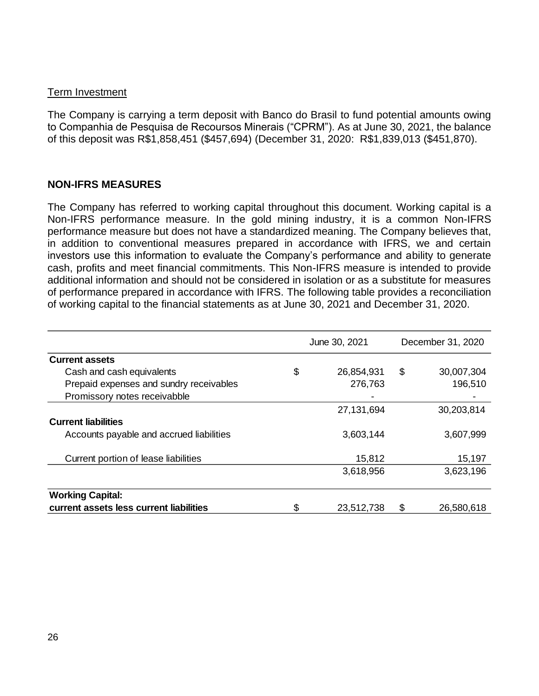#### Term Investment

The Company is carrying a term deposit with Banco do Brasil to fund potential amounts owing to Companhia de Pesquisa de Recoursos Minerais ("CPRM"). As at June 30, 2021, the balance of this deposit was R\$1,858,451 (\$457,694) (December 31, 2020: R\$1,839,013 (\$451,870).

## **NON-IFRS MEASURES**

The Company has referred to working capital throughout this document. Working capital is a Non-IFRS performance measure. In the gold mining industry, it is a common Non-IFRS performance measure but does not have a standardized meaning. The Company believes that, in addition to conventional measures prepared in accordance with IFRS, we and certain investors use this information to evaluate the Company's performance and ability to generate cash, profits and meet financial commitments. This Non-IFRS measure is intended to provide additional information and should not be considered in isolation or as a substitute for measures of performance prepared in accordance with IFRS. The following table provides a reconciliation of working capital to the financial statements as at June 30, 2021 and December 31, 2020.

|                                          | June 30, 2021    | December 31, 2020 |            |  |  |
|------------------------------------------|------------------|-------------------|------------|--|--|
| <b>Current assets</b>                    |                  |                   |            |  |  |
| Cash and cash equivalents                | \$<br>26,854,931 | \$                | 30,007,304 |  |  |
| Prepaid expenses and sundry receivables  | 276,763          |                   | 196,510    |  |  |
| Promissory notes receivabble             |                  |                   |            |  |  |
|                                          | 27,131,694       |                   | 30,203,814 |  |  |
| <b>Current liabilities</b>               |                  |                   |            |  |  |
| Accounts payable and accrued liabilities | 3,603,144        |                   | 3,607,999  |  |  |
| Current portion of lease liabilities     | 15,812           |                   | 15,197     |  |  |
|                                          | 3,618,956        |                   | 3,623,196  |  |  |
|                                          |                  |                   |            |  |  |
| <b>Working Capital:</b>                  |                  |                   |            |  |  |
| current assets less current liabilities  | \$<br>23,512,738 | S                 | 26,580,618 |  |  |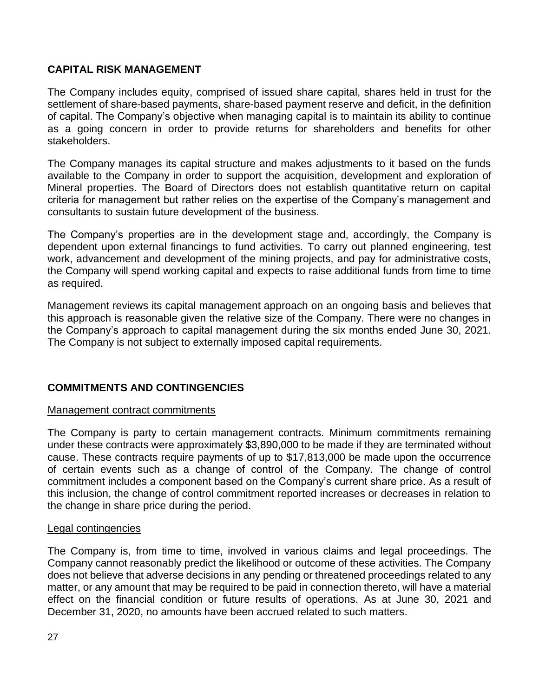# **CAPITAL RISK MANAGEMENT**

The Company includes equity, comprised of issued share capital, shares held in trust for the settlement of share-based payments, share-based payment reserve and deficit, in the definition of capital. The Company's objective when managing capital is to maintain its ability to continue as a going concern in order to provide returns for shareholders and benefits for other stakeholders.

The Company manages its capital structure and makes adjustments to it based on the funds available to the Company in order to support the acquisition, development and exploration of Mineral properties. The Board of Directors does not establish quantitative return on capital criteria for management but rather relies on the expertise of the Company's management and consultants to sustain future development of the business.

The Company's properties are in the development stage and, accordingly, the Company is dependent upon external financings to fund activities. To carry out planned engineering, test work, advancement and development of the mining projects, and pay for administrative costs, the Company will spend working capital and expects to raise additional funds from time to time as required.

Management reviews its capital management approach on an ongoing basis and believes that this approach is reasonable given the relative size of the Company. There were no changes in the Company's approach to capital management during the six months ended June 30, 2021. The Company is not subject to externally imposed capital requirements.

# **COMMITMENTS AND CONTINGENCIES**

## Management contract commitments

The Company is party to certain management contracts. Minimum commitments remaining under these contracts were approximately \$3,890,000 to be made if they are terminated without cause. These contracts require payments of up to \$17,813,000 be made upon the occurrence of certain events such as a change of control of the Company. The change of control commitment includes a component based on the Company's current share price. As a result of this inclusion, the change of control commitment reported increases or decreases in relation to the change in share price during the period.

#### Legal contingencies

The Company is, from time to time, involved in various claims and legal proceedings. The Company cannot reasonably predict the likelihood or outcome of these activities. The Company does not believe that adverse decisions in any pending or threatened proceedings related to any matter, or any amount that may be required to be paid in connection thereto, will have a material effect on the financial condition or future results of operations. As at June 30, 2021 and December 31, 2020, no amounts have been accrued related to such matters.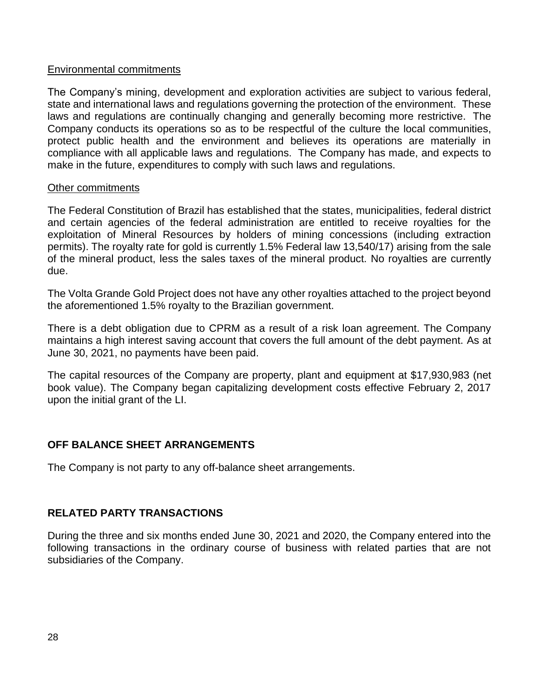## Environmental commitments

The Company's mining, development and exploration activities are subject to various federal, state and international laws and regulations governing the protection of the environment. These laws and regulations are continually changing and generally becoming more restrictive. The Company conducts its operations so as to be respectful of the culture the local communities, protect public health and the environment and believes its operations are materially in compliance with all applicable laws and regulations. The Company has made, and expects to make in the future, expenditures to comply with such laws and regulations.

#### Other commitments

The Federal Constitution of Brazil has established that the states, municipalities, federal district and certain agencies of the federal administration are entitled to receive royalties for the exploitation of Mineral Resources by holders of mining concessions (including extraction permits). The royalty rate for gold is currently 1.5% Federal law 13,540/17) arising from the sale of the mineral product, less the sales taxes of the mineral product. No royalties are currently due.

The Volta Grande Gold Project does not have any other royalties attached to the project beyond the aforementioned 1.5% royalty to the Brazilian government.

There is a debt obligation due to CPRM as a result of a risk loan agreement. The Company maintains a high interest saving account that covers the full amount of the debt payment. As at June 30, 2021, no payments have been paid.

The capital resources of the Company are property, plant and equipment at \$17,930,983 (net book value). The Company began capitalizing development costs effective February 2, 2017 upon the initial grant of the LI.

# **OFF BALANCE SHEET ARRANGEMENTS**

The Company is not party to any off-balance sheet arrangements.

## **RELATED PARTY TRANSACTIONS**

During the three and six months ended June 30, 2021 and 2020, the Company entered into the following transactions in the ordinary course of business with related parties that are not subsidiaries of the Company.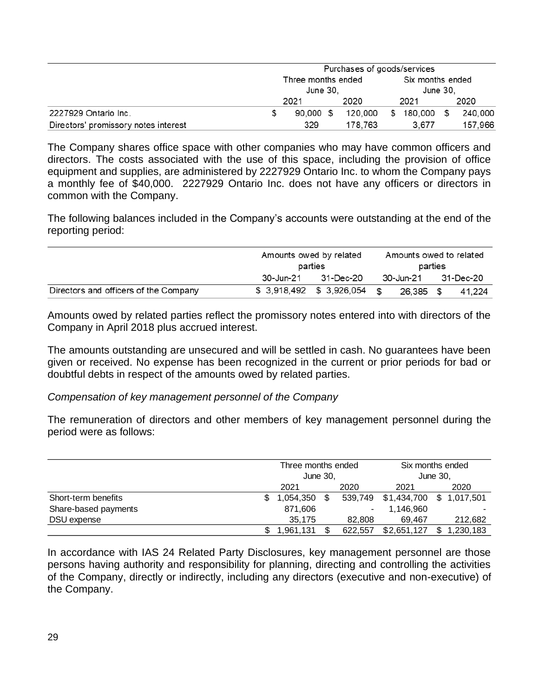|                                      | Purchases of goods/services    |  |         |          |            |                              |         |  |  |
|--------------------------------------|--------------------------------|--|---------|----------|------------|------------------------------|---------|--|--|
|                                      | Three months ended<br>June 30. |  |         |          |            | Six months ended<br>June 30. |         |  |  |
|                                      | 2021                           |  | 2020    | 2021     |            |                              | 2020    |  |  |
| 2227929 Ontario Inc.                 | 90.000 \$                      |  | 120.000 | <b>S</b> | 180,000 \$ |                              | 240,000 |  |  |
| Directors' promissory notes interest | 329                            |  | 178.763 |          | 3.677      |                              | 157.966 |  |  |

The Company shares office space with other companies who may have common officers and directors. The costs associated with the use of this space, including the provision of office equipment and supplies, are administered by 2227929 Ontario Inc. to whom the Company pays a monthly fee of \$40,000. 2227929 Ontario Inc. does not have any officers or directors in common with the Company.

The following balances included in the Company's accounts were outstanding at the end of the reporting period:

|                                       | Amounts owed by related<br>parties |                           |               | Amounts owed to related<br>parties |  |           |  |
|---------------------------------------|------------------------------------|---------------------------|---------------|------------------------------------|--|-----------|--|
|                                       | 30-Jun-21                          | 31-Dec-20                 |               | 30-Jun-21                          |  | 31-Dec-20 |  |
| Directors and officers of the Company |                                    | \$ 3,918,492 \$ 3,926,054 | $\mathcal{F}$ | 26.385 \$                          |  | 41.224    |  |

Amounts owed by related parties reflect the promissory notes entered into with directors of the Company in April 2018 plus accrued interest.

The amounts outstanding are unsecured and will be settled in cash. No guarantees have been given or received. No expense has been recognized in the current or prior periods for bad or doubtful debts in respect of the amounts owed by related parties.

## *Compensation of key management personnel of the Company*

The remuneration of directors and other members of key management personnel during the period were as follows:

|                      | Three months ended<br>June 30. |  |                | Six months ended<br>June 30, |  |           |  |
|----------------------|--------------------------------|--|----------------|------------------------------|--|-----------|--|
|                      | 2021                           |  | 2020           | 2021                         |  | 2020      |  |
| Short-term benefits  | 1,054,350                      |  | 539.749        | \$1,434,700 \$ 1,017,501     |  |           |  |
| Share-based payments | 871,606                        |  | $\blacksquare$ | 1,146,960                    |  |           |  |
| DSU expense          | 35,175                         |  | 82.808         | 69.467                       |  | 212,682   |  |
|                      | 1.961.131                      |  | 622.557        | \$2,651,127                  |  | 1,230,183 |  |

In accordance with IAS 24 Related Party Disclosures, key management personnel are those persons having authority and responsibility for planning, directing and controlling the activities of the Company, directly or indirectly, including any directors (executive and non-executive) of the Company.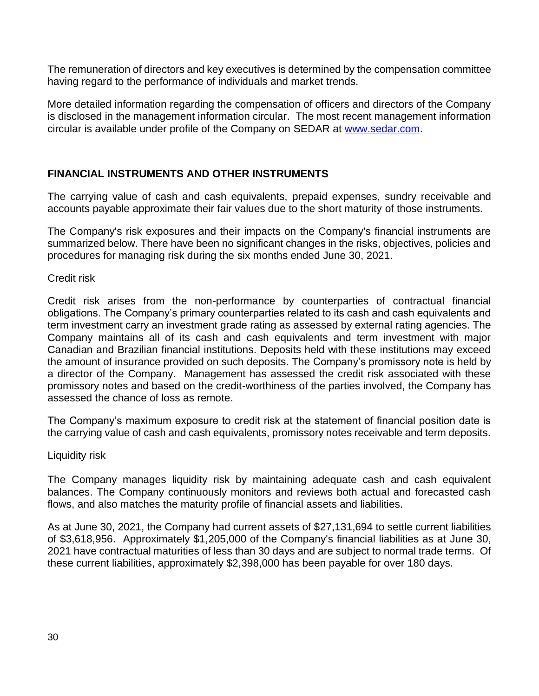The remuneration of directors and key executives is determined by the compensation committee having regard to the performance of individuals and market trends.

More detailed information regarding the compensation of officers and directors of the Company is disclosed in the management information circular. The most recent management information circular is available under profile of the Company on SEDAR at [www.sedar.com.](http://www.sedar.com/)

## **FINANCIAL INSTRUMENTS AND OTHER INSTRUMENTS**

The carrying value of cash and cash equivalents, prepaid expenses, sundry receivable and accounts payable approximate their fair values due to the short maturity of those instruments.

The Company's risk exposures and their impacts on the Company's financial instruments are summarized below. There have been no significant changes in the risks, objectives, policies and procedures for managing risk during the six months ended June 30, 2021.

Credit risk

Credit risk arises from the non-performance by counterparties of contractual financial obligations. The Company's primary counterparties related to its cash and cash equivalents and term investment carry an investment grade rating as assessed by external rating agencies. The Company maintains all of its cash and cash equivalents and term investment with major Canadian and Brazilian financial institutions. Deposits held with these institutions may exceed the amount of insurance provided on such deposits. The Company's promissory note is held by a director of the Company. Management has assessed the credit risk associated with these promissory notes and based on the credit-worthiness of the parties involved, the Company has assessed the chance of loss as remote.

The Company's maximum exposure to credit risk at the statement of financial position date is the carrying value of cash and cash equivalents, promissory notes receivable and term deposits.

## Liquidity risk

The Company manages liquidity risk by maintaining adequate cash and cash equivalent balances. The Company continuously monitors and reviews both actual and forecasted cash flows, and also matches the maturity profile of financial assets and liabilities.

As at June 30, 2021, the Company had current assets of \$27,131,694 to settle current liabilities of \$3,618,956. Approximately \$1,205,000 of the Company's financial liabilities as at June 30, 2021 have contractual maturities of less than 30 days and are subject to normal trade terms. Of these current liabilities, approximately \$2,398,000 has been payable for over 180 days.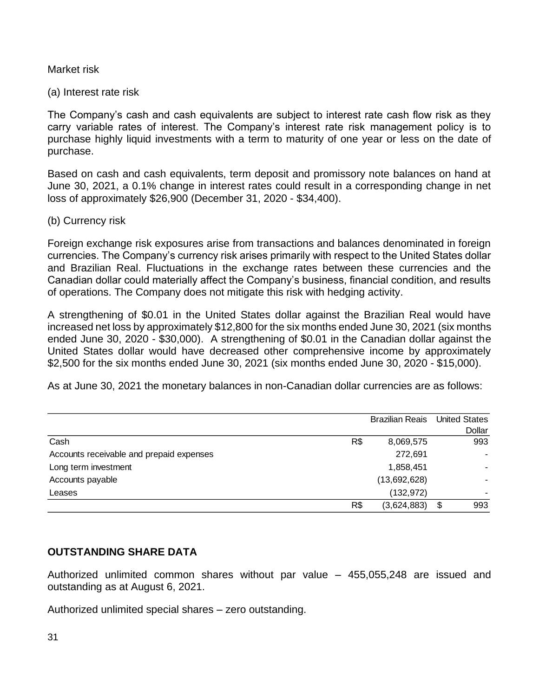#### Market risk

#### (a) Interest rate risk

The Company's cash and cash equivalents are subject to interest rate cash flow risk as they carry variable rates of interest. The Company's interest rate risk management policy is to purchase highly liquid investments with a term to maturity of one year or less on the date of purchase.

Based on cash and cash equivalents, term deposit and promissory note balances on hand at June 30, 2021, a 0.1% change in interest rates could result in a corresponding change in net loss of approximately \$26,900 (December 31, 2020 - \$34,400).

#### (b) Currency risk

Foreign exchange risk exposures arise from transactions and balances denominated in foreign currencies. The Company's currency risk arises primarily with respect to the United States dollar and Brazilian Real. Fluctuations in the exchange rates between these currencies and the Canadian dollar could materially affect the Company's business, financial condition, and results of operations. The Company does not mitigate this risk with hedging activity.

A strengthening of \$0.01 in the United States dollar against the Brazilian Real would have increased net loss by approximately \$12,800 for the six months ended June 30, 2021 (six months ended June 30, 2020 - \$30,000). A strengthening of \$0.01 in the Canadian dollar against the United States dollar would have decreased other comprehensive income by approximately \$2,500 for the six months ended June 30, 2021 (six months ended June 30, 2020 - \$15,000).

As at June 30, 2021 the monetary balances in non-Canadian dollar currencies are as follows:

|                                          |     | <b>Brazilian Reais</b> | <b>United States</b> |
|------------------------------------------|-----|------------------------|----------------------|
|                                          |     |                        | Dollar               |
| Cash                                     | R\$ | 8,069,575              | 993                  |
| Accounts receivable and prepaid expenses |     | 272,691                |                      |
| Long term investment                     |     | 1,858,451              |                      |
| Accounts payable                         |     | (13,692,628)           |                      |
| Leases                                   |     | (132, 972)             |                      |
|                                          | R\$ | (3,624,883)            | \$<br>993            |

## **OUTSTANDING SHARE DATA**

Authorized unlimited common shares without par value – 455,055,248 are issued and outstanding as at August 6, 2021.

Authorized unlimited special shares – zero outstanding.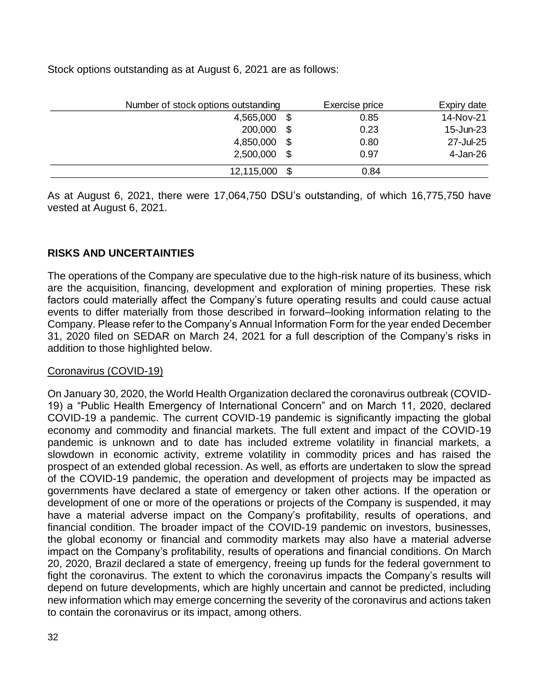Stock options outstanding as at August 6, 2021 are as follows:

|            | Number of stock options outstanding |      | Expiry date |
|------------|-------------------------------------|------|-------------|
| 4,565,000  | \$                                  | 0.85 | 14-Nov-21   |
| 200,000    | \$                                  | 0.23 | 15-Jun-23   |
| 4,850,000  | \$                                  | 0.80 | 27-Jul-25   |
| 2,500,000  | \$                                  | 0.97 | 4-Jan-26    |
| 12,115,000 | \$                                  | 0.84 |             |

As at August 6, 2021, there were 17,064,750 DSU's outstanding, of which 16,775,750 have vested at August 6, 2021.

# **RISKS AND UNCERTAINTIES**

The operations of the Company are speculative due to the high-risk nature of its business, which are the acquisition, financing, development and exploration of mining properties. These risk factors could materially affect the Company's future operating results and could cause actual events to differ materially from those described in forward–looking information relating to the Company. Please refer to the Company's Annual Information Form for the year ended December 31, 2020 filed on SEDAR on March 24, 2021 for a full description of the Company's risks in addition to those highlighted below.

## Coronavirus (COVID-19)

On January 30, 2020, the World Health Organization declared the coronavirus outbreak (COVID-19) a "Public Health Emergency of International Concern" and on March 11, 2020, declared COVID-19 a pandemic. The current COVID-19 pandemic is significantly impacting the global economy and commodity and financial markets. The full extent and impact of the COVID-19 pandemic is unknown and to date has included extreme volatility in financial markets, a slowdown in economic activity, extreme volatility in commodity prices and has raised the prospect of an extended global recession. As well, as efforts are undertaken to slow the spread of the COVID-19 pandemic, the operation and development of projects may be impacted as governments have declared a state of emergency or taken other actions. If the operation or development of one or more of the operations or projects of the Company is suspended, it may have a material adverse impact on the Company's profitability, results of operations, and financial condition. The broader impact of the COVID-19 pandemic on investors, businesses, the global economy or financial and commodity markets may also have a material adverse impact on the Company's profitability, results of operations and financial conditions. On March 20, 2020, Brazil declared a state of emergency, freeing up funds for the federal government to fight the coronavirus. The extent to which the coronavirus impacts the Company's results will depend on future developments, which are highly uncertain and cannot be predicted, including new information which may emerge concerning the severity of the coronavirus and actions taken to contain the coronavirus or its impact, among others.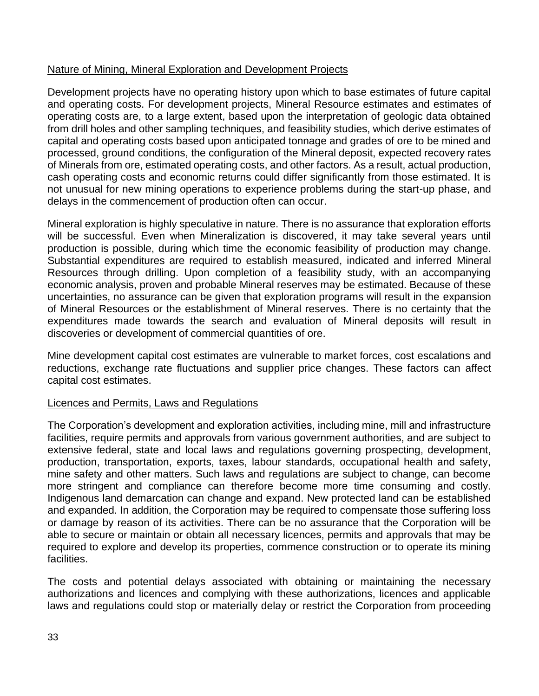## Nature of Mining, Mineral Exploration and Development Projects

Development projects have no operating history upon which to base estimates of future capital and operating costs. For development projects, Mineral Resource estimates and estimates of operating costs are, to a large extent, based upon the interpretation of geologic data obtained from drill holes and other sampling techniques, and feasibility studies, which derive estimates of capital and operating costs based upon anticipated tonnage and grades of ore to be mined and processed, ground conditions, the configuration of the Mineral deposit, expected recovery rates of Minerals from ore, estimated operating costs, and other factors. As a result, actual production, cash operating costs and economic returns could differ significantly from those estimated. It is not unusual for new mining operations to experience problems during the start-up phase, and delays in the commencement of production often can occur.

Mineral exploration is highly speculative in nature. There is no assurance that exploration efforts will be successful. Even when Mineralization is discovered, it may take several years until production is possible, during which time the economic feasibility of production may change. Substantial expenditures are required to establish measured, indicated and inferred Mineral Resources through drilling. Upon completion of a feasibility study, with an accompanying economic analysis, proven and probable Mineral reserves may be estimated. Because of these uncertainties, no assurance can be given that exploration programs will result in the expansion of Mineral Resources or the establishment of Mineral reserves. There is no certainty that the expenditures made towards the search and evaluation of Mineral deposits will result in discoveries or development of commercial quantities of ore.

Mine development capital cost estimates are vulnerable to market forces, cost escalations and reductions, exchange rate fluctuations and supplier price changes. These factors can affect capital cost estimates.

## Licences and Permits, Laws and Regulations

The Corporation's development and exploration activities, including mine, mill and infrastructure facilities, require permits and approvals from various government authorities, and are subject to extensive federal, state and local laws and regulations governing prospecting, development, production, transportation, exports, taxes, labour standards, occupational health and safety, mine safety and other matters. Such laws and regulations are subject to change, can become more stringent and compliance can therefore become more time consuming and costly. Indigenous land demarcation can change and expand. New protected land can be established and expanded. In addition, the Corporation may be required to compensate those suffering loss or damage by reason of its activities. There can be no assurance that the Corporation will be able to secure or maintain or obtain all necessary licences, permits and approvals that may be required to explore and develop its properties, commence construction or to operate its mining facilities.

The costs and potential delays associated with obtaining or maintaining the necessary authorizations and licences and complying with these authorizations, licences and applicable laws and regulations could stop or materially delay or restrict the Corporation from proceeding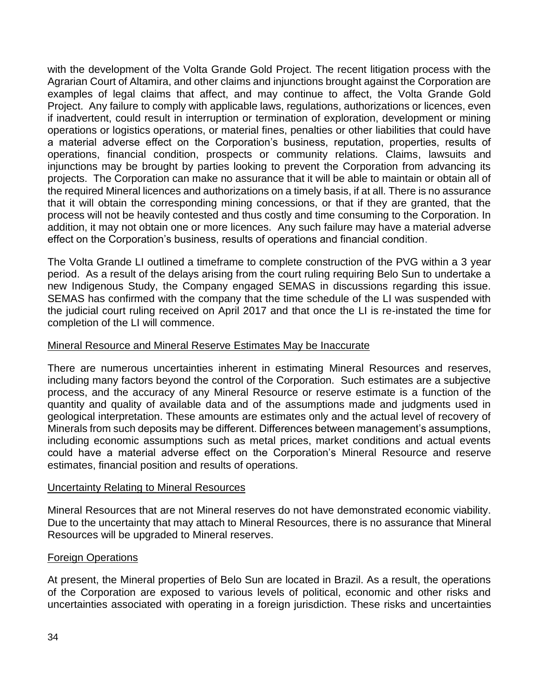with the development of the Volta Grande Gold Project. The recent litigation process with the Agrarian Court of Altamira, and other claims and injunctions brought against the Corporation are examples of legal claims that affect, and may continue to affect, the Volta Grande Gold Project. Any failure to comply with applicable laws, regulations, authorizations or licences, even if inadvertent, could result in interruption or termination of exploration, development or mining operations or logistics operations, or material fines, penalties or other liabilities that could have a material adverse effect on the Corporation's business, reputation, properties, results of operations, financial condition, prospects or community relations. Claims, lawsuits and injunctions may be brought by parties looking to prevent the Corporation from advancing its projects. The Corporation can make no assurance that it will be able to maintain or obtain all of the required Mineral licences and authorizations on a timely basis, if at all. There is no assurance that it will obtain the corresponding mining concessions, or that if they are granted, that the process will not be heavily contested and thus costly and time consuming to the Corporation. In addition, it may not obtain one or more licences. Any such failure may have a material adverse effect on the Corporation's business, results of operations and financial condition.

The Volta Grande LI outlined a timeframe to complete construction of the PVG within a 3 year period. As a result of the delays arising from the court ruling requiring Belo Sun to undertake a new Indigenous Study, the Company engaged SEMAS in discussions regarding this issue. SEMAS has confirmed with the company that the time schedule of the LI was suspended with the judicial court ruling received on April 2017 and that once the LI is re-instated the time for completion of the LI will commence.

## Mineral Resource and Mineral Reserve Estimates May be Inaccurate

There are numerous uncertainties inherent in estimating Mineral Resources and reserves, including many factors beyond the control of the Corporation. Such estimates are a subjective process, and the accuracy of any Mineral Resource or reserve estimate is a function of the quantity and quality of available data and of the assumptions made and judgments used in geological interpretation. These amounts are estimates only and the actual level of recovery of Minerals from such deposits may be different. Differences between management's assumptions, including economic assumptions such as metal prices, market conditions and actual events could have a material adverse effect on the Corporation's Mineral Resource and reserve estimates, financial position and results of operations.

## Uncertainty Relating to Mineral Resources

Mineral Resources that are not Mineral reserves do not have demonstrated economic viability. Due to the uncertainty that may attach to Mineral Resources, there is no assurance that Mineral Resources will be upgraded to Mineral reserves.

## Foreign Operations

At present, the Mineral properties of Belo Sun are located in Brazil. As a result, the operations of the Corporation are exposed to various levels of political, economic and other risks and uncertainties associated with operating in a foreign jurisdiction. These risks and uncertainties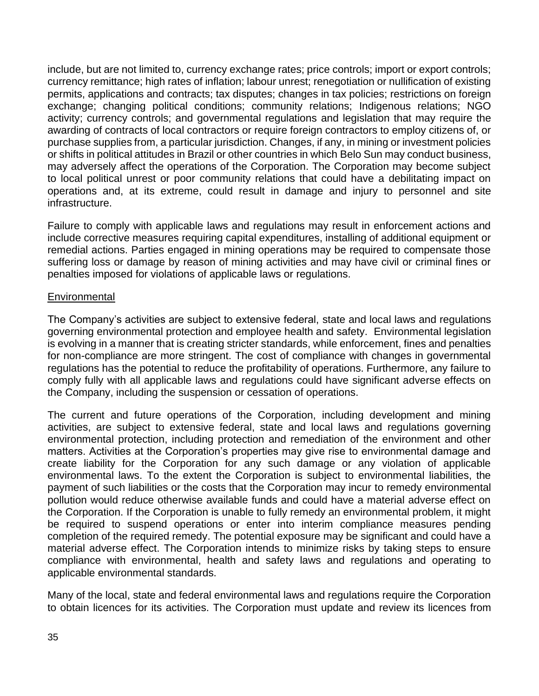include, but are not limited to, currency exchange rates; price controls; import or export controls; currency remittance; high rates of inflation; labour unrest; renegotiation or nullification of existing permits, applications and contracts; tax disputes; changes in tax policies; restrictions on foreign exchange; changing political conditions; community relations; Indigenous relations; NGO activity; currency controls; and governmental regulations and legislation that may require the awarding of contracts of local contractors or require foreign contractors to employ citizens of, or purchase supplies from, a particular jurisdiction. Changes, if any, in mining or investment policies or shifts in political attitudes in Brazil or other countries in which Belo Sun may conduct business, may adversely affect the operations of the Corporation. The Corporation may become subject to local political unrest or poor community relations that could have a debilitating impact on operations and, at its extreme, could result in damage and injury to personnel and site infrastructure.

Failure to comply with applicable laws and regulations may result in enforcement actions and include corrective measures requiring capital expenditures, installing of additional equipment or remedial actions. Parties engaged in mining operations may be required to compensate those suffering loss or damage by reason of mining activities and may have civil or criminal fines or penalties imposed for violations of applicable laws or regulations.

## **Environmental**

The Company's activities are subject to extensive federal, state and local laws and regulations governing environmental protection and employee health and safety. Environmental legislation is evolving in a manner that is creating stricter standards, while enforcement, fines and penalties for non-compliance are more stringent. The cost of compliance with changes in governmental regulations has the potential to reduce the profitability of operations. Furthermore, any failure to comply fully with all applicable laws and regulations could have significant adverse effects on the Company, including the suspension or cessation of operations.

The current and future operations of the Corporation, including development and mining activities, are subject to extensive federal, state and local laws and regulations governing environmental protection, including protection and remediation of the environment and other matters. Activities at the Corporation's properties may give rise to environmental damage and create liability for the Corporation for any such damage or any violation of applicable environmental laws. To the extent the Corporation is subject to environmental liabilities, the payment of such liabilities or the costs that the Corporation may incur to remedy environmental pollution would reduce otherwise available funds and could have a material adverse effect on the Corporation. If the Corporation is unable to fully remedy an environmental problem, it might be required to suspend operations or enter into interim compliance measures pending completion of the required remedy. The potential exposure may be significant and could have a material adverse effect. The Corporation intends to minimize risks by taking steps to ensure compliance with environmental, health and safety laws and regulations and operating to applicable environmental standards.

Many of the local, state and federal environmental laws and regulations require the Corporation to obtain licences for its activities. The Corporation must update and review its licences from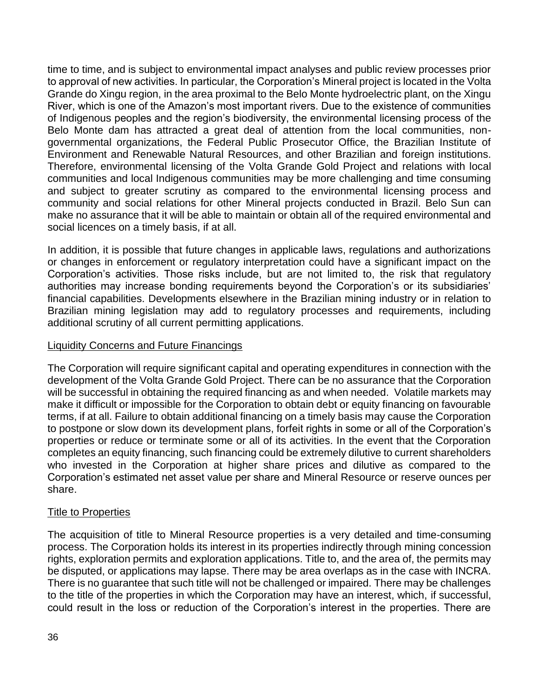time to time, and is subject to environmental impact analyses and public review processes prior to approval of new activities. In particular, the Corporation's Mineral project is located in the Volta Grande do Xingu region, in the area proximal to the Belo Monte hydroelectric plant, on the Xingu River, which is one of the Amazon's most important rivers. Due to the existence of communities of Indigenous peoples and the region's biodiversity, the environmental licensing process of the Belo Monte dam has attracted a great deal of attention from the local communities, nongovernmental organizations, the Federal Public Prosecutor Office, the Brazilian Institute of Environment and Renewable Natural Resources, and other Brazilian and foreign institutions. Therefore, environmental licensing of the Volta Grande Gold Project and relations with local communities and local Indigenous communities may be more challenging and time consuming and subject to greater scrutiny as compared to the environmental licensing process and community and social relations for other Mineral projects conducted in Brazil. Belo Sun can make no assurance that it will be able to maintain or obtain all of the required environmental and social licences on a timely basis, if at all.

In addition, it is possible that future changes in applicable laws, regulations and authorizations or changes in enforcement or regulatory interpretation could have a significant impact on the Corporation's activities. Those risks include, but are not limited to, the risk that regulatory authorities may increase bonding requirements beyond the Corporation's or its subsidiaries' financial capabilities. Developments elsewhere in the Brazilian mining industry or in relation to Brazilian mining legislation may add to regulatory processes and requirements, including additional scrutiny of all current permitting applications.

## Liquidity Concerns and Future Financings

The Corporation will require significant capital and operating expenditures in connection with the development of the Volta Grande Gold Project. There can be no assurance that the Corporation will be successful in obtaining the required financing as and when needed. Volatile markets may make it difficult or impossible for the Corporation to obtain debt or equity financing on favourable terms, if at all. Failure to obtain additional financing on a timely basis may cause the Corporation to postpone or slow down its development plans, forfeit rights in some or all of the Corporation's properties or reduce or terminate some or all of its activities. In the event that the Corporation completes an equity financing, such financing could be extremely dilutive to current shareholders who invested in the Corporation at higher share prices and dilutive as compared to the Corporation's estimated net asset value per share and Mineral Resource or reserve ounces per share.

## Title to Properties

The acquisition of title to Mineral Resource properties is a very detailed and time-consuming process. The Corporation holds its interest in its properties indirectly through mining concession rights, exploration permits and exploration applications. Title to, and the area of, the permits may be disputed, or applications may lapse. There may be area overlaps as in the case with INCRA. There is no guarantee that such title will not be challenged or impaired. There may be challenges to the title of the properties in which the Corporation may have an interest, which, if successful, could result in the loss or reduction of the Corporation's interest in the properties. There are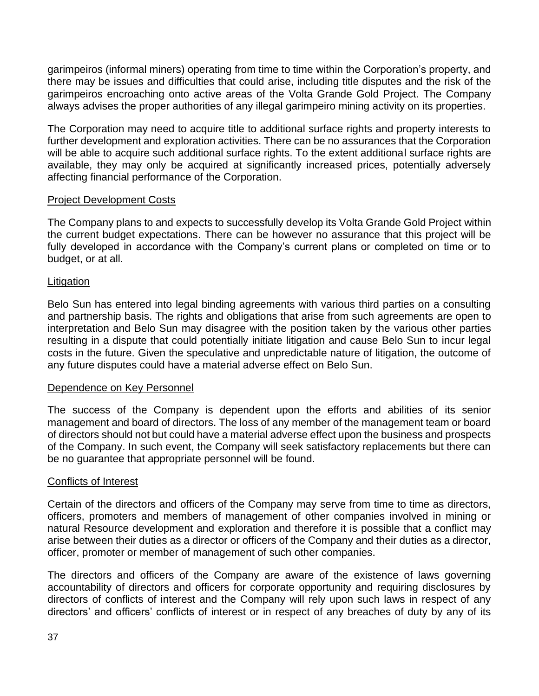garimpeiros (informal miners) operating from time to time within the Corporation's property, and there may be issues and difficulties that could arise, including title disputes and the risk of the garimpeiros encroaching onto active areas of the Volta Grande Gold Project. The Company always advises the proper authorities of any illegal garimpeiro mining activity on its properties.

The Corporation may need to acquire title to additional surface rights and property interests to further development and exploration activities. There can be no assurances that the Corporation will be able to acquire such additional surface rights. To the extent additional surface rights are available, they may only be acquired at significantly increased prices, potentially adversely affecting financial performance of the Corporation.

## Project Development Costs

The Company plans to and expects to successfully develop its Volta Grande Gold Project within the current budget expectations. There can be however no assurance that this project will be fully developed in accordance with the Company's current plans or completed on time or to budget, or at all.

## Litigation

Belo Sun has entered into legal binding agreements with various third parties on a consulting and partnership basis. The rights and obligations that arise from such agreements are open to interpretation and Belo Sun may disagree with the position taken by the various other parties resulting in a dispute that could potentially initiate litigation and cause Belo Sun to incur legal costs in the future. Given the speculative and unpredictable nature of litigation, the outcome of any future disputes could have a material adverse effect on Belo Sun.

## Dependence on Key Personnel

The success of the Company is dependent upon the efforts and abilities of its senior management and board of directors. The loss of any member of the management team or board of directors should not but could have a material adverse effect upon the business and prospects of the Company. In such event, the Company will seek satisfactory replacements but there can be no guarantee that appropriate personnel will be found.

## Conflicts of Interest

Certain of the directors and officers of the Company may serve from time to time as directors, officers, promoters and members of management of other companies involved in mining or natural Resource development and exploration and therefore it is possible that a conflict may arise between their duties as a director or officers of the Company and their duties as a director, officer, promoter or member of management of such other companies.

The directors and officers of the Company are aware of the existence of laws governing accountability of directors and officers for corporate opportunity and requiring disclosures by directors of conflicts of interest and the Company will rely upon such laws in respect of any directors' and officers' conflicts of interest or in respect of any breaches of duty by any of its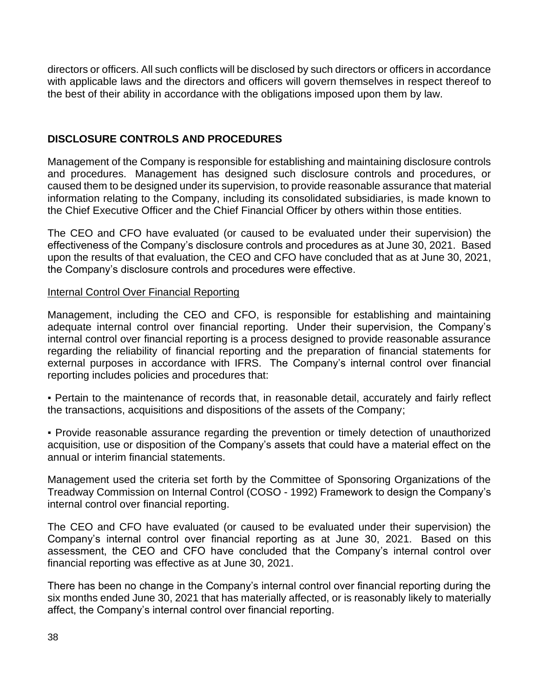directors or officers. All such conflicts will be disclosed by such directors or officers in accordance with applicable laws and the directors and officers will govern themselves in respect thereof to the best of their ability in accordance with the obligations imposed upon them by law.

# **DISCLOSURE CONTROLS AND PROCEDURES**

Management of the Company is responsible for establishing and maintaining disclosure controls and procedures. Management has designed such disclosure controls and procedures, or caused them to be designed under its supervision, to provide reasonable assurance that material information relating to the Company, including its consolidated subsidiaries, is made known to the Chief Executive Officer and the Chief Financial Officer by others within those entities.

The CEO and CFO have evaluated (or caused to be evaluated under their supervision) the effectiveness of the Company's disclosure controls and procedures as at June 30, 2021. Based upon the results of that evaluation, the CEO and CFO have concluded that as at June 30, 2021, the Company's disclosure controls and procedures were effective.

## Internal Control Over Financial Reporting

Management, including the CEO and CFO, is responsible for establishing and maintaining adequate internal control over financial reporting. Under their supervision, the Company's internal control over financial reporting is a process designed to provide reasonable assurance regarding the reliability of financial reporting and the preparation of financial statements for external purposes in accordance with IFRS. The Company's internal control over financial reporting includes policies and procedures that:

• Pertain to the maintenance of records that, in reasonable detail, accurately and fairly reflect the transactions, acquisitions and dispositions of the assets of the Company;

▪ Provide reasonable assurance regarding the prevention or timely detection of unauthorized acquisition, use or disposition of the Company's assets that could have a material effect on the annual or interim financial statements.

Management used the criteria set forth by the Committee of Sponsoring Organizations of the Treadway Commission on Internal Control (COSO - 1992) Framework to design the Company's internal control over financial reporting.

The CEO and CFO have evaluated (or caused to be evaluated under their supervision) the Company's internal control over financial reporting as at June 30, 2021. Based on this assessment, the CEO and CFO have concluded that the Company's internal control over financial reporting was effective as at June 30, 2021.

There has been no change in the Company's internal control over financial reporting during the six months ended June 30, 2021 that has materially affected, or is reasonably likely to materially affect, the Company's internal control over financial reporting.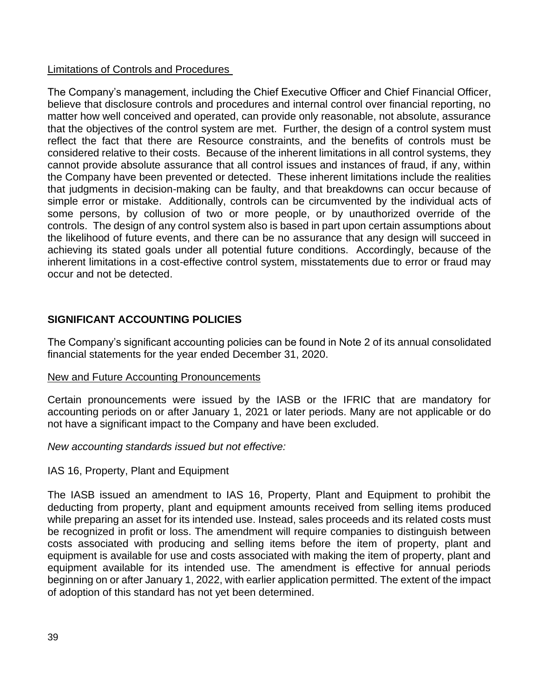## Limitations of Controls and Procedures

The Company's management, including the Chief Executive Officer and Chief Financial Officer, believe that disclosure controls and procedures and internal control over financial reporting, no matter how well conceived and operated, can provide only reasonable, not absolute, assurance that the objectives of the control system are met. Further, the design of a control system must reflect the fact that there are Resource constraints, and the benefits of controls must be considered relative to their costs. Because of the inherent limitations in all control systems, they cannot provide absolute assurance that all control issues and instances of fraud, if any, within the Company have been prevented or detected. These inherent limitations include the realities that judgments in decision-making can be faulty, and that breakdowns can occur because of simple error or mistake. Additionally, controls can be circumvented by the individual acts of some persons, by collusion of two or more people, or by unauthorized override of the controls. The design of any control system also is based in part upon certain assumptions about the likelihood of future events, and there can be no assurance that any design will succeed in achieving its stated goals under all potential future conditions. Accordingly, because of the inherent limitations in a cost-effective control system, misstatements due to error or fraud may occur and not be detected.

# **SIGNIFICANT ACCOUNTING POLICIES**

The Company's significant accounting policies can be found in Note 2 of its annual consolidated financial statements for the year ended December 31, 2020.

## New and Future Accounting Pronouncements

Certain pronouncements were issued by the IASB or the IFRIC that are mandatory for accounting periods on or after January 1, 2021 or later periods. Many are not applicable or do not have a significant impact to the Company and have been excluded.

## *New accounting standards issued but not effective:*

# IAS 16, Property, Plant and Equipment

The IASB issued an amendment to IAS 16, Property, Plant and Equipment to prohibit the deducting from property, plant and equipment amounts received from selling items produced while preparing an asset for its intended use. Instead, sales proceeds and its related costs must be recognized in profit or loss. The amendment will require companies to distinguish between costs associated with producing and selling items before the item of property, plant and equipment is available for use and costs associated with making the item of property, plant and equipment available for its intended use. The amendment is effective for annual periods beginning on or after January 1, 2022, with earlier application permitted. The extent of the impact of adoption of this standard has not yet been determined.